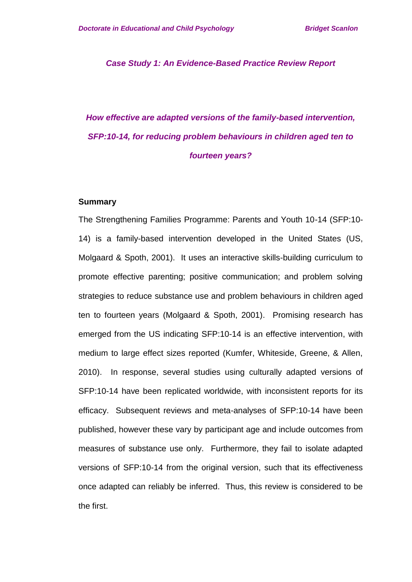*Case Study 1: An Evidence-Based Practice Review Report*

# *How effective are adapted versions of the family-based intervention, SFP:10-14, for reducing problem behaviours in children aged ten to fourteen years?*

### **Summary**

The Strengthening Families Programme: Parents and Youth 10-14 (SFP:10- 14) is a family-based intervention developed in the United States (US, Molgaard & Spoth, 2001). It uses an interactive skills-building curriculum to promote effective parenting; positive communication; and problem solving strategies to reduce substance use and problem behaviours in children aged ten to fourteen years (Molgaard & Spoth, 2001). Promising research has emerged from the US indicating SFP:10-14 is an effective intervention, with medium to large effect sizes reported (Kumfer, Whiteside, Greene, & Allen, 2010). In response, several studies using culturally adapted versions of SFP:10-14 have been replicated worldwide, with inconsistent reports for its efficacy. Subsequent reviews and meta-analyses of SFP:10-14 have been published, however these vary by participant age and include outcomes from measures of substance use only. Furthermore, they fail to isolate adapted versions of SFP:10-14 from the original version, such that its effectiveness once adapted can reliably be inferred. Thus, this review is considered to be the first.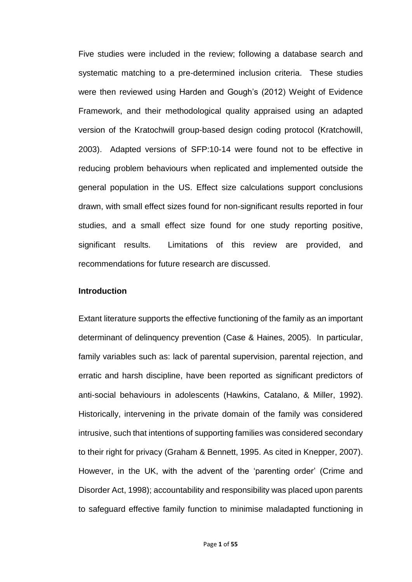Five studies were included in the review; following a database search and systematic matching to a pre-determined inclusion criteria. These studies were then reviewed using Harden and Gough's (2012) Weight of Evidence Framework, and their methodological quality appraised using an adapted version of the Kratochwill group-based design coding protocol (Kratchowill, 2003). Adapted versions of SFP:10-14 were found not to be effective in reducing problem behaviours when replicated and implemented outside the general population in the US. Effect size calculations support conclusions drawn, with small effect sizes found for non-significant results reported in four studies, and a small effect size found for one study reporting positive, significant results. Limitations of this review are provided, and recommendations for future research are discussed.

## **Introduction**

Extant literature supports the effective functioning of the family as an important determinant of delinquency prevention (Case & Haines, 2005). In particular, family variables such as: lack of parental supervision, parental rejection, and erratic and harsh discipline, have been reported as significant predictors of anti-social behaviours in adolescents (Hawkins, Catalano, & Miller, 1992). Historically, intervening in the private domain of the family was considered intrusive, such that intentions of supporting families was considered secondary to their right for privacy (Graham & Bennett, 1995. As cited in Knepper, 2007). However, in the UK, with the advent of the 'parenting order' (Crime and Disorder Act, 1998); accountability and responsibility was placed upon parents to safeguard effective family function to minimise maladapted functioning in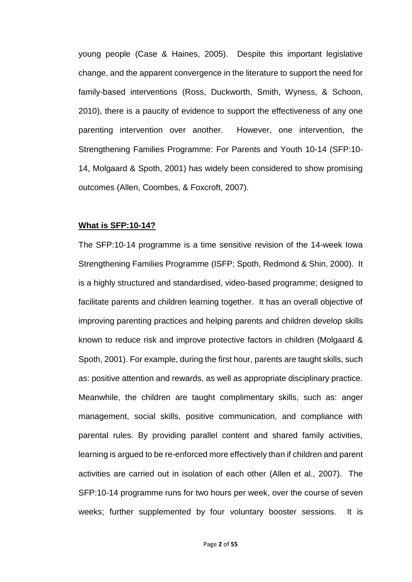young people (Case & Haines, 2005). Despite this important legislative change, and the apparent convergence in the literature to support the need for family-based interventions (Ross, Duckworth, Smith, Wyness, & Schoon, 2010), there is a paucity of evidence to support the effectiveness of any one parenting intervention over another. However, one intervention, the Strengthening Families Programme: For Parents and Youth 10-14 (SFP:10- 14, Molgaard & Spoth, 2001) has widely been considered to show promising outcomes (Allen, Coombes, & Foxcroft, 2007).

### **What is SFP:10-14?**

The SFP:10-14 programme is a time sensitive revision of the 14-week Iowa Strengthening Families Programme (ISFP; Spoth, Redmond & Shin, 2000). It is a highly structured and standardised, video-based programme; designed to facilitate parents and children learning together. It has an overall objective of improving parenting practices and helping parents and children develop skills known to reduce risk and improve protective factors in children (Molgaard & Spoth, 2001). For example, during the first hour, parents are taught skills, such as: positive attention and rewards, as well as appropriate disciplinary practice. Meanwhile, the children are taught complimentary skills, such as: anger management, social skills, positive communication, and compliance with parental rules. By providing parallel content and shared family activities, learning is argued to be re-enforced more effectively than if children and parent activities are carried out in isolation of each other (Allen et al., 2007). The SFP:10-14 programme runs for two hours per week, over the course of seven weeks; further supplemented by four voluntary booster sessions. It is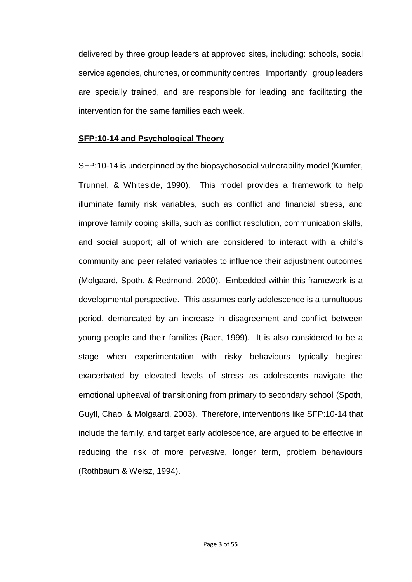delivered by three group leaders at approved sites, including: schools, social service agencies, churches, or community centres. Importantly, group leaders are specially trained, and are responsible for leading and facilitating the intervention for the same families each week.

## **SFP:10-14 and Psychological Theory**

SFP:10-14 is underpinned by the biopsychosocial vulnerability model (Kumfer, Trunnel, & Whiteside, 1990). This model provides a framework to help illuminate family risk variables, such as conflict and financial stress, and improve family coping skills, such as conflict resolution, communication skills, and social support; all of which are considered to interact with a child's community and peer related variables to influence their adjustment outcomes (Molgaard, Spoth, & Redmond, 2000). Embedded within this framework is a developmental perspective. This assumes early adolescence is a tumultuous period, demarcated by an increase in disagreement and conflict between young people and their families (Baer, 1999). It is also considered to be a stage when experimentation with risky behaviours typically begins; exacerbated by elevated levels of stress as adolescents navigate the emotional upheaval of transitioning from primary to secondary school (Spoth, Guyll, Chao, & Molgaard, 2003). Therefore, interventions like SFP:10-14 that include the family, and target early adolescence, are argued to be effective in reducing the risk of more pervasive, longer term, problem behaviours (Rothbaum & Weisz, 1994).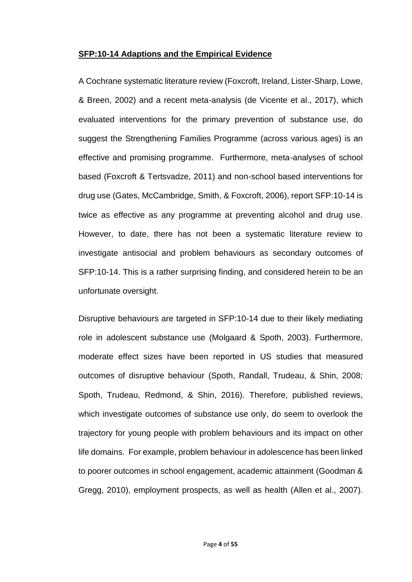## **SFP:10-14 Adaptions and the Empirical Evidence**

A Cochrane systematic literature review (Foxcroft, Ireland, Lister-Sharp, Lowe, & Breen, 2002) and a recent meta-analysis (de Vicente et al., 2017), which evaluated interventions for the primary prevention of substance use, do suggest the Strengthening Families Programme (across various ages) is an effective and promising programme. Furthermore, meta-analyses of school based (Foxcroft & Tertsvadze, 2011) and non-school based interventions for drug use (Gates, McCambridge, Smith, & Foxcroft, 2006), report SFP:10-14 is twice as effective as any programme at preventing alcohol and drug use. However, to date, there has not been a systematic literature review to investigate antisocial and problem behaviours as secondary outcomes of SFP:10-14. This is a rather surprising finding, and considered herein to be an unfortunate oversight.

Disruptive behaviours are targeted in SFP:10-14 due to their likely mediating role in adolescent substance use (Molgaard & Spoth, 2003). Furthermore, moderate effect sizes have been reported in US studies that measured outcomes of disruptive behaviour (Spoth, Randall, Trudeau, & Shin, 2008; Spoth, Trudeau, Redmond, & Shin, 2016). Therefore, published reviews, which investigate outcomes of substance use only, do seem to overlook the trajectory for young people with problem behaviours and its impact on other life domains. For example, problem behaviour in adolescence has been linked to poorer outcomes in school engagement, academic attainment (Goodman & Gregg, 2010), employment prospects, as well as health (Allen et al., 2007).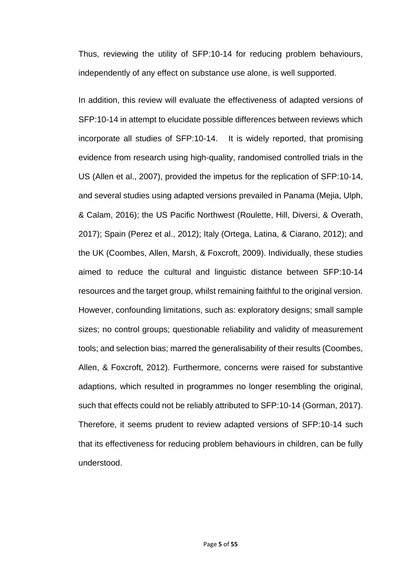Thus, reviewing the utility of SFP:10-14 for reducing problem behaviours, independently of any effect on substance use alone, is well supported.

In addition, this review will evaluate the effectiveness of adapted versions of SFP:10-14 in attempt to elucidate possible differences between reviews which incorporate all studies of SFP:10-14. It is widely reported, that promising evidence from research using high-quality, randomised controlled trials in the US (Allen et al., 2007), provided the impetus for the replication of SFP:10-14, and several studies using adapted versions prevailed in Panama (Mejia, Ulph, & Calam, 2016); the US Pacific Northwest (Roulette, Hill, Diversi, & Overath, 2017); Spain (Perez et al., 2012); Italy (Ortega, Latina, & Ciarano, 2012); and the UK (Coombes, Allen, Marsh, & Foxcroft, 2009). Individually, these studies aimed to reduce the cultural and linguistic distance between SFP:10-14 resources and the target group, whilst remaining faithful to the original version. However, confounding limitations, such as: exploratory designs; small sample sizes; no control groups; questionable reliability and validity of measurement tools; and selection bias; marred the generalisability of their results (Coombes, Allen, & Foxcroft, 2012). Furthermore, concerns were raised for substantive adaptions, which resulted in programmes no longer resembling the original, such that effects could not be reliably attributed to SFP:10-14 (Gorman, 2017). Therefore, it seems prudent to review adapted versions of SFP:10-14 such that its effectiveness for reducing problem behaviours in children, can be fully understood.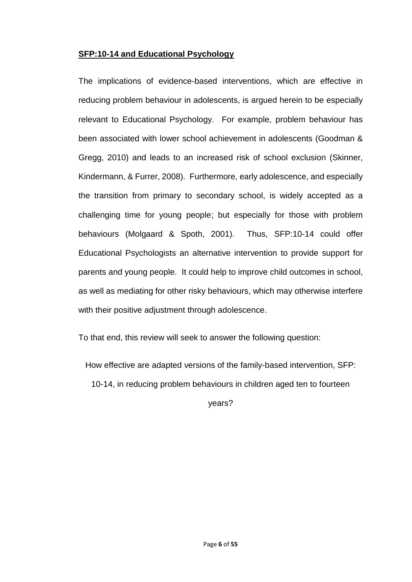## **SFP:10-14 and Educational Psychology**

The implications of evidence-based interventions, which are effective in reducing problem behaviour in adolescents, is argued herein to be especially relevant to Educational Psychology. For example, problem behaviour has been associated with lower school achievement in adolescents (Goodman & Gregg, 2010) and leads to an increased risk of school exclusion (Skinner, Kindermann, & Furrer, 2008). Furthermore, early adolescence, and especially the transition from primary to secondary school, is widely accepted as a challenging time for young people; but especially for those with problem behaviours (Molgaard & Spoth, 2001). Thus, SFP:10-14 could offer Educational Psychologists an alternative intervention to provide support for parents and young people. It could help to improve child outcomes in school, as well as mediating for other risky behaviours, which may otherwise interfere with their positive adjustment through adolescence.

To that end, this review will seek to answer the following question:

How effective are adapted versions of the family-based intervention, SFP:

10-14, in reducing problem behaviours in children aged ten to fourteen

years?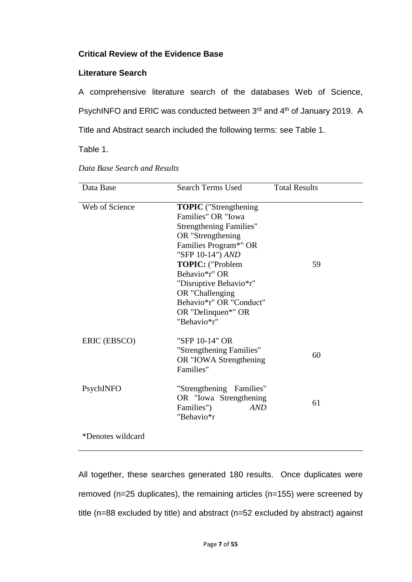## **Critical Review of the Evidence Base**

## **Literature Search**

A comprehensive literature search of the databases Web of Science,

PsychINFO and ERIC was conducted between 3<sup>rd</sup> and 4<sup>th</sup> of January 2019. A

Title and Abstract search included the following terms: see Table 1.

Table 1.

| Data Base         | <b>Search Terms Used</b>                                                                                                                                                                                                                                                                                              | <b>Total Results</b> |
|-------------------|-----------------------------------------------------------------------------------------------------------------------------------------------------------------------------------------------------------------------------------------------------------------------------------------------------------------------|----------------------|
| Web of Science    | <b>TOPIC</b> ("Strengthening<br>Families" OR "Iowa<br><b>Strengthening Families"</b><br>OR "Strengthening<br>Families Program*" OR<br>"SFP 10-14") AND<br>TOPIC: ("Problem<br>Behavio <sup>*</sup> r" OR<br>"Disruptive Behavio*r"<br>OR "Challenging<br>Behavio*r" OR "Conduct"<br>OR "Delinquen*" OR<br>"Behavio*r" | 59                   |
| ERIC (EBSCO)      | "SFP 10-14" OR<br>"Strengthening Families"<br>OR "IOWA Strengthening<br>Families"                                                                                                                                                                                                                                     | 60                   |
| PsychINFO         | "Strengthening Families"<br>OR "Iowa Strengthening<br>Families")<br><b>AND</b><br>"Behavio*r                                                                                                                                                                                                                          | 61                   |
| *Denotes wildcard |                                                                                                                                                                                                                                                                                                                       |                      |

*Data Base Search and Results*

All together, these searches generated 180 results. Once duplicates were removed (n=25 duplicates), the remaining articles (n=155) were screened by title (n=88 excluded by title) and abstract (n=52 excluded by abstract) against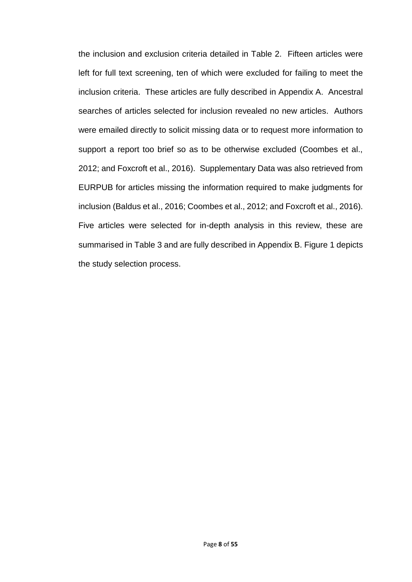the inclusion and exclusion criteria detailed in Table 2. Fifteen articles were left for full text screening, ten of which were excluded for failing to meet the inclusion criteria. These articles are fully described in Appendix A. Ancestral searches of articles selected for inclusion revealed no new articles. Authors were emailed directly to solicit missing data or to request more information to support a report too brief so as to be otherwise excluded (Coombes et al., 2012; and Foxcroft et al., 2016). Supplementary Data was also retrieved from EURPUB for articles missing the information required to make judgments for inclusion (Baldus et al., 2016; Coombes et al., 2012; and Foxcroft et al., 2016). Five articles were selected for in-depth analysis in this review, these are summarised in Table 3 and are fully described in Appendix B. Figure 1 depicts the study selection process.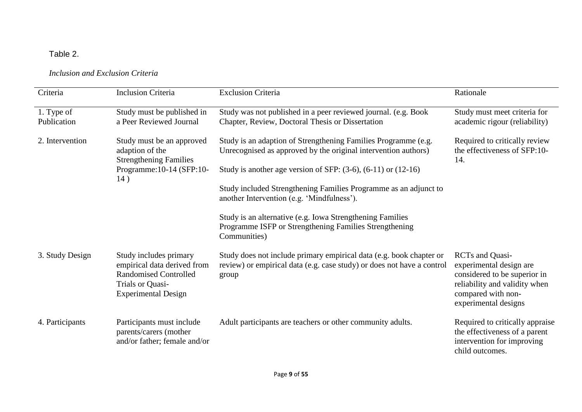## Table 2.

## *Inclusion and Exclusion Criteria*

| Criteria                  | <b>Inclusion Criteria</b>                                                                                                               | <b>Exclusion Criteria</b>                                                                                                                                                                                                                                                                                                  | Rationale                                                                                                                                                        |
|---------------------------|-----------------------------------------------------------------------------------------------------------------------------------------|----------------------------------------------------------------------------------------------------------------------------------------------------------------------------------------------------------------------------------------------------------------------------------------------------------------------------|------------------------------------------------------------------------------------------------------------------------------------------------------------------|
| 1. Type of<br>Publication | Study must be published in<br>a Peer Reviewed Journal                                                                                   | Study was not published in a peer reviewed journal. (e.g. Book<br>Chapter, Review, Doctoral Thesis or Dissertation                                                                                                                                                                                                         | Study must meet criteria for<br>academic rigour (reliability)                                                                                                    |
| 2. Intervention           | Study must be an approved<br>adaption of the<br><b>Strengthening Families</b><br>Programme: 10-14 (SFP: 10-<br>14)                      | Study is an adaption of Strengthening Families Programme (e.g.<br>Unrecognised as approved by the original intervention authors)<br>Study is another age version of SFP: $(3-6)$ , $(6-11)$ or $(12-16)$<br>Study included Strengthening Families Programme as an adjunct to<br>another Intervention (e.g. 'Mindfulness'). | Required to critically review<br>the effectiveness of SFP:10-<br>14.                                                                                             |
|                           |                                                                                                                                         | Study is an alternative (e.g. Iowa Strengthening Families<br>Programme ISFP or Strengthening Families Strengthening<br>Communities)                                                                                                                                                                                        |                                                                                                                                                                  |
| 3. Study Design           | Study includes primary<br>empirical data derived from<br><b>Randomised Controlled</b><br>Trials or Quasi-<br><b>Experimental Design</b> | Study does not include primary empirical data (e.g. book chapter or<br>review) or empirical data (e.g. case study) or does not have a control<br>group                                                                                                                                                                     | <b>RCTs</b> and Quasi-<br>experimental design are<br>considered to be superior in<br>reliability and validity when<br>compared with non-<br>experimental designs |
| 4. Participants           | Participants must include<br>parents/carers (mother<br>and/or father; female and/or                                                     | Adult participants are teachers or other community adults.                                                                                                                                                                                                                                                                 | Required to critically appraise<br>the effectiveness of a parent<br>intervention for improving<br>child outcomes.                                                |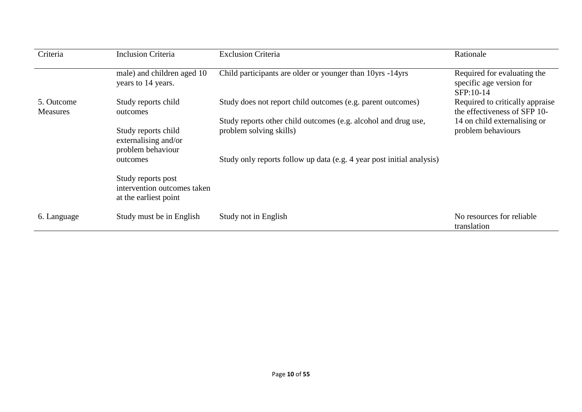| Criteria                      | <b>Inclusion Criteria</b>                                                  | <b>Exclusion Criteria</b>                                                                 | Rationale                                                            |
|-------------------------------|----------------------------------------------------------------------------|-------------------------------------------------------------------------------------------|----------------------------------------------------------------------|
|                               | male) and children aged 10<br>years to 14 years.                           | Child participants are older or younger than 10yrs -14yrs                                 | Required for evaluating the<br>specific age version for<br>SFP:10-14 |
| 5. Outcome<br><b>Measures</b> | Study reports child<br>outcomes                                            | Study does not report child outcomes (e.g. parent outcomes)                               | Required to critically appraise<br>the effectiveness of SFP 10-      |
|                               | Study reports child<br>externalising and/or<br>problem behaviour           | Study reports other child outcomes (e.g. alcohol and drug use,<br>problem solving skills) | 14 on child externalising or<br>problem behaviours                   |
|                               | outcomes                                                                   | Study only reports follow up data (e.g. 4 year post initial analysis)                     |                                                                      |
|                               | Study reports post<br>intervention outcomes taken<br>at the earliest point |                                                                                           |                                                                      |
| 6. Language                   | Study must be in English                                                   | Study not in English                                                                      | No resources for reliable<br>translation                             |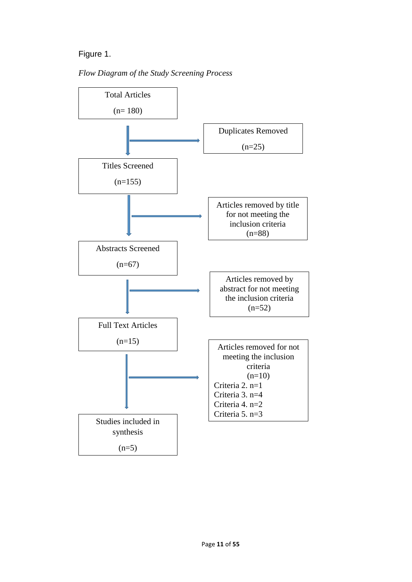## Figure 1.



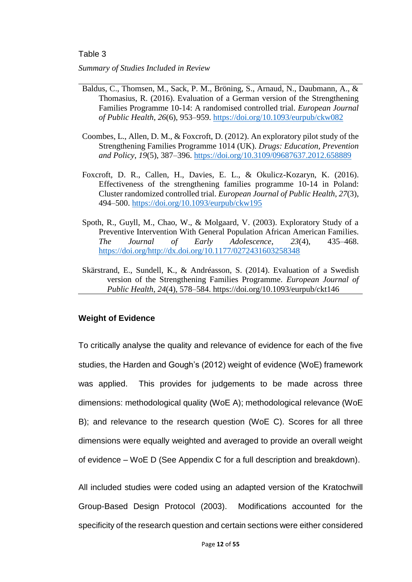#### Table 3

*Summary of Studies Included in Review*

- Baldus, C., Thomsen, M., Sack, P. M., Bröning, S., Arnaud, N., Daubmann, A., & Thomasius, R. (2016). Evaluation of a German version of the Strengthening Families Programme 10-14: A randomised controlled trial. *European Journal of Public Health*, *26*(6), 953–959.<https://doi.org/10.1093/eurpub/ckw082>
- Coombes, L., Allen, D. M., & Foxcroft, D. (2012). An exploratory pilot study of the Strengthening Families Programme 1014 (UK). *Drugs: Education, Prevention and Policy*, *19*(5), 387–396.<https://doi.org/10.3109/09687637.2012.658889>
- Foxcroft, D. R., Callen, H., Davies, E. L., & Okulicz-Kozaryn, K. (2016). Effectiveness of the strengthening families programme 10-14 in Poland: Cluster randomized controlled trial. *European Journal of Public Health*, *27*(3), 494–500.<https://doi.org/10.1093/eurpub/ckw195>
- Spoth, R., Guyll, M., Chao, W., & Molgaard, V. (2003). Exploratory Study of a Preventive Intervention With General Population African American Families. *The Journal of Early Adolescence*, *23*(4), 435–468. [https://doi.org/http://dx.doi.org/10.1177/0272431603258348](https://doi.org/http:/dx.doi.org/10.1177/0272431603258348)
- Skärstrand, E., Sundell, K., & Andréasson, S. (2014). Evaluation of a Swedish version of the Strengthening Families Programme. *European Journal of Public Health*, *24*(4), 578–584. https://doi.org/10.1093/eurpub/ckt146

## **Weight of Evidence**

To critically analyse the quality and relevance of evidence for each of the five studies, the Harden and Gough's (2012) weight of evidence (WoE) framework was applied. This provides for judgements to be made across three dimensions: methodological quality (WoE A); methodological relevance (WoE B); and relevance to the research question (WoE C). Scores for all three dimensions were equally weighted and averaged to provide an overall weight of evidence – WoE D (See Appendix C for a full description and breakdown).

All included studies were coded using an adapted version of the Kratochwill Group-Based Design Protocol (2003). Modifications accounted for the specificity of the research question and certain sections were either considered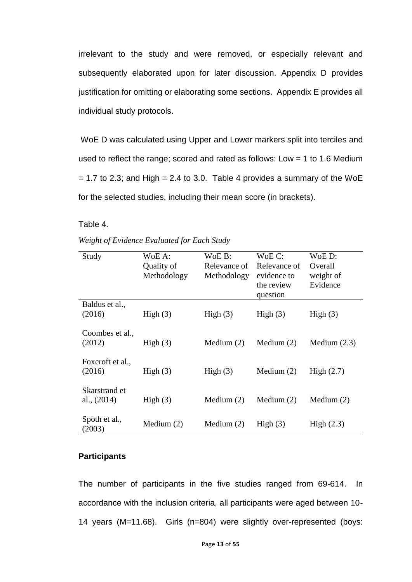irrelevant to the study and were removed, or especially relevant and subsequently elaborated upon for later discussion. Appendix D provides justification for omitting or elaborating some sections. Appendix E provides all individual study protocols.

WoE D was calculated using Upper and Lower markers split into terciles and used to reflect the range; scored and rated as follows: Low = 1 to 1.6 Medium  $= 1.7$  to 2.3; and High  $= 2.4$  to 3.0. Table 4 provides a summary of the WoE for the selected studies, including their mean score (in brackets).

Table 4.

|  | Weight of Evidence Evaluated for Each Study |  |
|--|---------------------------------------------|--|
|  |                                             |  |

| Study                          | WoE A:<br>Quality of<br>Methodology | WoE B:<br>Relevance of<br>Methodology | WoE C:<br>Relevance of<br>evidence to<br>the review<br>question | WoE D:<br>Overall<br>weight of<br>Evidence |
|--------------------------------|-------------------------------------|---------------------------------------|-----------------------------------------------------------------|--------------------------------------------|
| Baldus et al.,<br>(2016)       | High(3)                             | High(3)                               | High $(3)$                                                      | High $(3)$                                 |
| Coombes et al.,<br>(2012)      | High(3)                             | Medium $(2)$                          | Medium $(2)$                                                    | Medium $(2.3)$                             |
| Foxcroft et al.,<br>(2016)     | High(3)                             | High $(3)$                            | Medium $(2)$                                                    | High $(2.7)$                               |
| Skarstrand et<br>al., $(2014)$ | High(3)                             | Medium $(2)$                          | Medium $(2)$                                                    | Medium $(2)$                               |
| Spoth et al.,<br>(2003)        | Medium $(2)$                        | Medium $(2)$                          | High $(3)$                                                      | High $(2.3)$                               |

## **Participants**

The number of participants in the five studies ranged from 69-614. In accordance with the inclusion criteria, all participants were aged between 10- 14 years (M=11.68). Girls (n=804) were slightly over-represented (boys: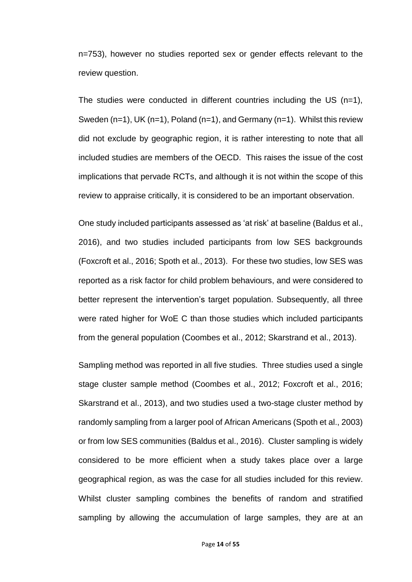n=753), however no studies reported sex or gender effects relevant to the review question.

The studies were conducted in different countries including the US (n=1), Sweden (n=1), UK (n=1), Poland (n=1), and Germany (n=1). Whilst this review did not exclude by geographic region, it is rather interesting to note that all included studies are members of the OECD. This raises the issue of the cost implications that pervade RCTs, and although it is not within the scope of this review to appraise critically, it is considered to be an important observation.

One study included participants assessed as 'at risk' at baseline (Baldus et al., 2016), and two studies included participants from low SES backgrounds (Foxcroft et al., 2016; Spoth et al., 2013). For these two studies, low SES was reported as a risk factor for child problem behaviours, and were considered to better represent the intervention's target population. Subsequently, all three were rated higher for WoE C than those studies which included participants from the general population (Coombes et al., 2012; Skarstrand et al., 2013).

Sampling method was reported in all five studies. Three studies used a single stage cluster sample method (Coombes et al., 2012; Foxcroft et al., 2016; Skarstrand et al., 2013), and two studies used a two-stage cluster method by randomly sampling from a larger pool of African Americans (Spoth et al., 2003) or from low SES communities (Baldus et al., 2016). Cluster sampling is widely considered to be more efficient when a study takes place over a large geographical region, as was the case for all studies included for this review. Whilst cluster sampling combines the benefits of random and stratified sampling by allowing the accumulation of large samples, they are at an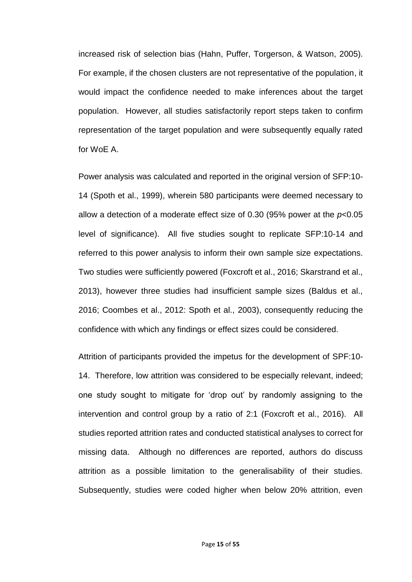increased risk of selection bias (Hahn, Puffer, Torgerson, & Watson, 2005). For example, if the chosen clusters are not representative of the population, it would impact the confidence needed to make inferences about the target population. However, all studies satisfactorily report steps taken to confirm representation of the target population and were subsequently equally rated for WoE A.

Power analysis was calculated and reported in the original version of SFP:10- 14 (Spoth et al., 1999), wherein 580 participants were deemed necessary to allow a detection of a moderate effect size of 0.30 (95% power at the *p*<0.05 level of significance). All five studies sought to replicate SFP:10-14 and referred to this power analysis to inform their own sample size expectations. Two studies were sufficiently powered (Foxcroft et al., 2016; Skarstrand et al., 2013), however three studies had insufficient sample sizes (Baldus et al., 2016; Coombes et al., 2012: Spoth et al., 2003), consequently reducing the confidence with which any findings or effect sizes could be considered.

Attrition of participants provided the impetus for the development of SPF:10- 14. Therefore, low attrition was considered to be especially relevant, indeed; one study sought to mitigate for 'drop out' by randomly assigning to the intervention and control group by a ratio of 2:1 (Foxcroft et al., 2016). All studies reported attrition rates and conducted statistical analyses to correct for missing data. Although no differences are reported, authors do discuss attrition as a possible limitation to the generalisability of their studies. Subsequently, studies were coded higher when below 20% attrition, even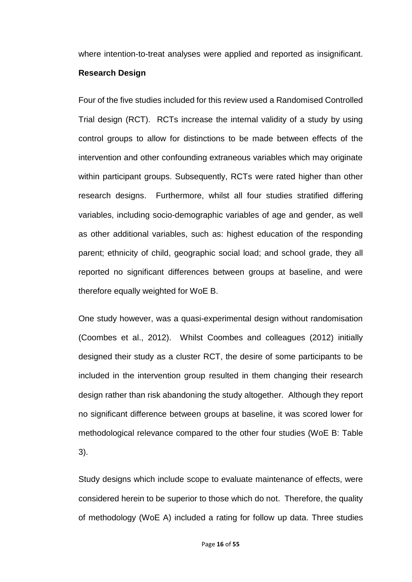where intention-to-treat analyses were applied and reported as insignificant.

## **Research Design**

Four of the five studies included for this review used a Randomised Controlled Trial design (RCT). RCTs increase the internal validity of a study by using control groups to allow for distinctions to be made between effects of the intervention and other confounding extraneous variables which may originate within participant groups. Subsequently, RCTs were rated higher than other research designs. Furthermore, whilst all four studies stratified differing variables, including socio-demographic variables of age and gender, as well as other additional variables, such as: highest education of the responding parent; ethnicity of child, geographic social load; and school grade, they all reported no significant differences between groups at baseline, and were therefore equally weighted for WoE B.

One study however, was a quasi-experimental design without randomisation (Coombes et al., 2012). Whilst Coombes and colleagues (2012) initially designed their study as a cluster RCT, the desire of some participants to be included in the intervention group resulted in them changing their research design rather than risk abandoning the study altogether. Although they report no significant difference between groups at baseline, it was scored lower for methodological relevance compared to the other four studies (WoE B: Table 3).

Study designs which include scope to evaluate maintenance of effects, were considered herein to be superior to those which do not. Therefore, the quality of methodology (WoE A) included a rating for follow up data. Three studies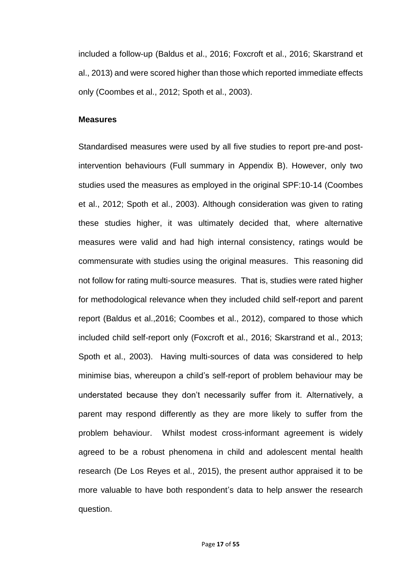included a follow-up (Baldus et al., 2016; Foxcroft et al., 2016; Skarstrand et al., 2013) and were scored higher than those which reported immediate effects only (Coombes et al., 2012; Spoth et al., 2003).

## **Measures**

Standardised measures were used by all five studies to report pre-and postintervention behaviours (Full summary in Appendix B). However, only two studies used the measures as employed in the original SPF:10-14 (Coombes et al., 2012; Spoth et al., 2003). Although consideration was given to rating these studies higher, it was ultimately decided that, where alternative measures were valid and had high internal consistency, ratings would be commensurate with studies using the original measures. This reasoning did not follow for rating multi-source measures. That is, studies were rated higher for methodological relevance when they included child self-report and parent report (Baldus et al.,2016; Coombes et al., 2012), compared to those which included child self-report only (Foxcroft et al., 2016; Skarstrand et al., 2013; Spoth et al., 2003). Having multi-sources of data was considered to help minimise bias, whereupon a child's self-report of problem behaviour may be understated because they don't necessarily suffer from it. Alternatively, a parent may respond differently as they are more likely to suffer from the problem behaviour. Whilst modest cross-informant agreement is widely agreed to be a robust phenomena in child and adolescent mental health research (De Los Reyes et al., 2015), the present author appraised it to be more valuable to have both respondent's data to help answer the research question.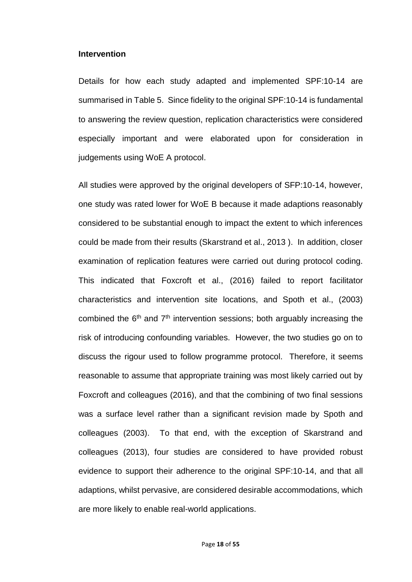### **Intervention**

Details for how each study adapted and implemented SPF:10-14 are summarised in Table 5. Since fidelity to the original SPF:10-14 is fundamental to answering the review question, replication characteristics were considered especially important and were elaborated upon for consideration in judgements using WoE A protocol.

All studies were approved by the original developers of SFP:10-14, however, one study was rated lower for WoE B because it made adaptions reasonably considered to be substantial enough to impact the extent to which inferences could be made from their results (Skarstrand et al., 2013 ). In addition, closer examination of replication features were carried out during protocol coding. This indicated that Foxcroft et al., (2016) failed to report facilitator characteristics and intervention site locations, and Spoth et al., (2003) combined the  $6<sup>th</sup>$  and  $7<sup>th</sup>$  intervention sessions; both arguably increasing the risk of introducing confounding variables. However, the two studies go on to discuss the rigour used to follow programme protocol. Therefore, it seems reasonable to assume that appropriate training was most likely carried out by Foxcroft and colleagues (2016), and that the combining of two final sessions was a surface level rather than a significant revision made by Spoth and colleagues (2003). To that end, with the exception of Skarstrand and colleagues (2013), four studies are considered to have provided robust evidence to support their adherence to the original SPF:10-14, and that all adaptions, whilst pervasive, are considered desirable accommodations, which are more likely to enable real-world applications.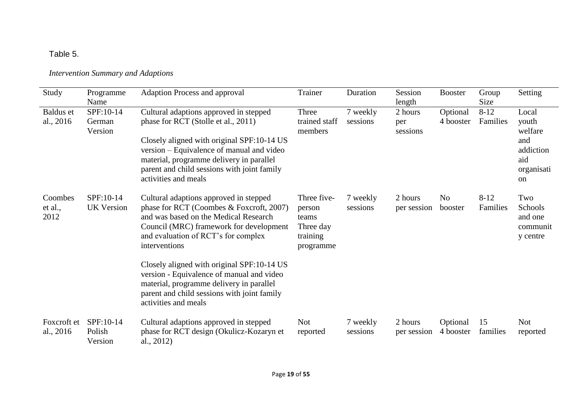## Table 5.

## *Intervention Summary and Adaptions*

| Study                      | Programme<br>Name              | Adaption Process and approval                                                                                                                                                                                                                                                               | Trainer                                                              | Duration             | Session<br>length          | <b>Booster</b>            | Group<br>Size        | Setting                                                                  |
|----------------------------|--------------------------------|---------------------------------------------------------------------------------------------------------------------------------------------------------------------------------------------------------------------------------------------------------------------------------------------|----------------------------------------------------------------------|----------------------|----------------------------|---------------------------|----------------------|--------------------------------------------------------------------------|
| Baldus et<br>al., 2016     | SPF:10-14<br>German<br>Version | Cultural adaptions approved in stepped<br>phase for RCT (Stolle et al., 2011)<br>Closely aligned with original SPF:10-14 US<br>version – Equivalence of manual and video<br>material, programme delivery in parallel<br>parent and child sessions with joint family<br>activities and meals | Three<br>trained staff<br>members                                    | 7 weekly<br>sessions | 2 hours<br>per<br>sessions | Optional<br>4 booster     | $8 - 12$<br>Families | Local<br>youth<br>welfare<br>and<br>addiction<br>aid<br>organisati<br>on |
| Coombes<br>et al.,<br>2012 | SPF:10-14<br><b>UK Version</b> | Cultural adaptions approved in stepped<br>phase for RCT (Coombes & Foxcroft, 2007)<br>and was based on the Medical Research<br>Council (MRC) framework for development<br>and evaluation of RCT's for complex<br>interventions                                                              | Three five-<br>person<br>teams<br>Three day<br>training<br>programme | 7 weekly<br>sessions | 2 hours<br>per session     | N <sub>o</sub><br>booster | $8 - 12$<br>Families | Two<br>Schools<br>and one<br>communit<br>y centre                        |
|                            |                                | Closely aligned with original SPF:10-14 US<br>version - Equivalence of manual and video<br>material, programme delivery in parallel<br>parent and child sessions with joint family<br>activities and meals                                                                                  |                                                                      |                      |                            |                           |                      |                                                                          |
| Foxcroft et<br>al., 2016   | SPF:10-14<br>Polish<br>Version | Cultural adaptions approved in stepped<br>phase for RCT design (Okulicz-Kozaryn et<br>al., 2012)                                                                                                                                                                                            | <b>Not</b><br>reported                                               | 7 weekly<br>sessions | 2 hours<br>per session     | Optional<br>4 booster     | 15<br>families       | <b>Not</b><br>reported                                                   |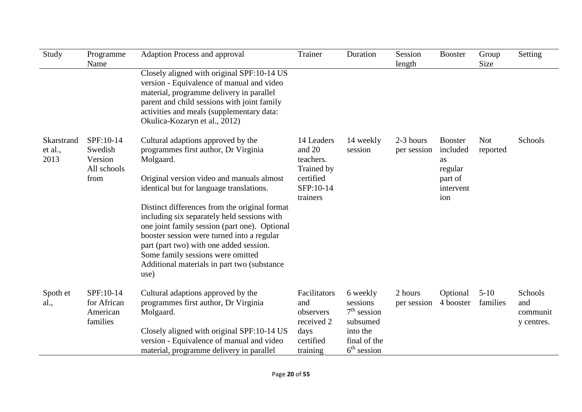| Study                         | Programme<br>Name                                      | <b>Adaption Process and approval</b>                                                                                                                                                                                                                                                                                                                                                                                                                            | Trainer                                                                               | Duration                                          | Session<br>length        | Booster                                                                    | Group<br><b>Size</b>   | Setting                                  |
|-------------------------------|--------------------------------------------------------|-----------------------------------------------------------------------------------------------------------------------------------------------------------------------------------------------------------------------------------------------------------------------------------------------------------------------------------------------------------------------------------------------------------------------------------------------------------------|---------------------------------------------------------------------------------------|---------------------------------------------------|--------------------------|----------------------------------------------------------------------------|------------------------|------------------------------------------|
|                               |                                                        | Closely aligned with original SPF:10-14 US<br>version - Equivalence of manual and video<br>material, programme delivery in parallel<br>parent and child sessions with joint family<br>activities and meals (supplementary data:<br>Okulica-Kozaryn et al., 2012)                                                                                                                                                                                                |                                                                                       |                                                   |                          |                                                                            |                        |                                          |
| Skarstrand<br>et al.,<br>2013 | SPF:10-14<br>Swedish<br>Version<br>All schools<br>from | Cultural adaptions approved by the<br>programmes first author, Dr Virginia<br>Molgaard.<br>Original version video and manuals almost<br>identical but for language translations.<br>Distinct differences from the original format<br>including six separately held sessions with<br>one joint family session (part one). Optional<br>booster session were turned into a regular<br>part (part two) with one added session.<br>Some family sessions were omitted | 14 Leaders<br>and 20<br>teachers.<br>Trained by<br>certified<br>SFP:10-14<br>trainers | 14 weekly<br>session                              | 2-3 hours<br>per session | <b>Booster</b><br>included<br>as<br>regular<br>part of<br>intervent<br>ion | <b>Not</b><br>reported | Schools                                  |
|                               |                                                        | Additional materials in part two (substance<br>use)                                                                                                                                                                                                                                                                                                                                                                                                             |                                                                                       |                                                   |                          |                                                                            |                        |                                          |
| Spoth et<br>al.,              | SPF:10-14<br>for African<br>American<br>families       | Cultural adaptions approved by the<br>programmes first author, Dr Virginia<br>Molgaard.                                                                                                                                                                                                                                                                                                                                                                         | Facilitators<br>and<br>observers<br>received 2                                        | 6 weekly<br>sessions<br>$7th$ session<br>subsumed | 2 hours<br>per session   | Optional<br>4 booster                                                      | $5-10$<br>families     | Schools<br>and<br>communit<br>y centres. |
|                               |                                                        | Closely aligned with original SPF:10-14 US<br>version - Equivalence of manual and video<br>material, programme delivery in parallel                                                                                                                                                                                                                                                                                                                             | days<br>certified<br>training                                                         | into the<br>final of the<br>$6th$ session         |                          |                                                                            |                        |                                          |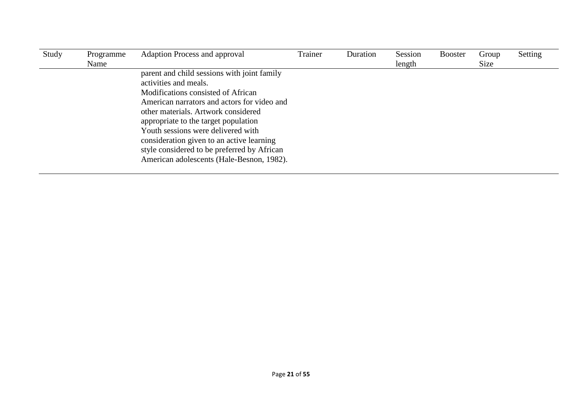| Study | Programme<br>Name | Adaption Process and approval                                                                                                                                                                                                                                                                                                                                                                                           | Trainer | Duration | Session<br>length | <b>Booster</b> | Group<br>Size | Setting |
|-------|-------------------|-------------------------------------------------------------------------------------------------------------------------------------------------------------------------------------------------------------------------------------------------------------------------------------------------------------------------------------------------------------------------------------------------------------------------|---------|----------|-------------------|----------------|---------------|---------|
|       |                   | parent and child sessions with joint family<br>activities and meals.<br>Modifications consisted of African<br>American narrators and actors for video and<br>other materials. Artwork considered<br>appropriate to the target population<br>Youth sessions were delivered with<br>consideration given to an active learning<br>style considered to be preferred by African<br>American adolescents (Hale-Besnon, 1982). |         |          |                   |                |               |         |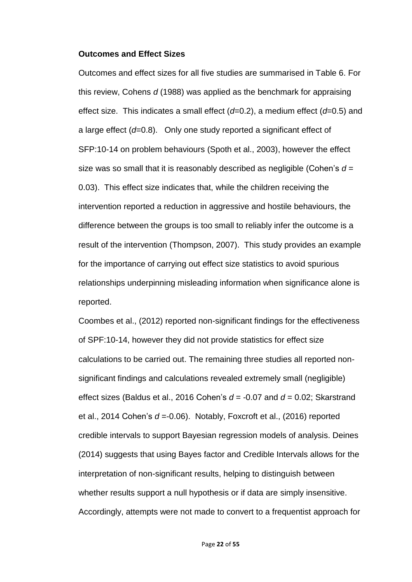#### **Outcomes and Effect Sizes**

Outcomes and effect sizes for all five studies are summarised in Table 6. For this review, Cohens *d* (1988) was applied as the benchmark for appraising effect size. This indicates a small effect (*d*=0.2), a medium effect (*d*=0.5) and a large effect (*d*=0.8). Only one study reported a significant effect of SFP:10-14 on problem behaviours (Spoth et al., 2003), however the effect size was so small that it is reasonably described as negligible (Cohen's *d* = 0.03). This effect size indicates that, while the children receiving the intervention reported a reduction in aggressive and hostile behaviours, the difference between the groups is too small to reliably infer the outcome is a result of the intervention (Thompson, 2007). This study provides an example for the importance of carrying out effect size statistics to avoid spurious relationships underpinning misleading information when significance alone is reported.

Coombes et al., (2012) reported non-significant findings for the effectiveness of SPF:10-14, however they did not provide statistics for effect size calculations to be carried out. The remaining three studies all reported nonsignificant findings and calculations revealed extremely small (negligible) effect sizes (Baldus et al., 2016 Cohen's *d* = -0.07 and *d* = 0.02; Skarstrand et al., 2014 Cohen's  $d = 0.06$ ). Notably, Foxcroft et al., (2016) reported credible intervals to support Bayesian regression models of analysis. Deines (2014) suggests that using Bayes factor and Credible Intervals allows for the interpretation of non-significant results, helping to distinguish between whether results support a null hypothesis or if data are simply insensitive. Accordingly, attempts were not made to convert to a frequentist approach for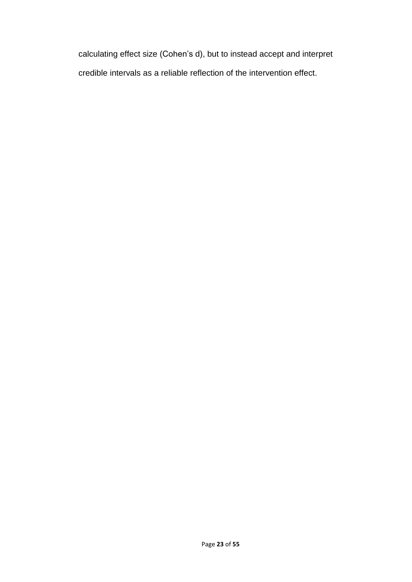calculating effect size (Cohen's d), but to instead accept and interpret credible intervals as a reliable reflection of the intervention effect.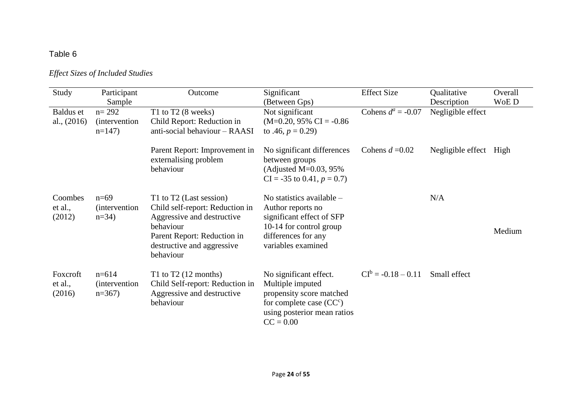## Table 6

## *Effect Sizes of Included Studies*

| Study         | Participant           | Outcome                                 | Significant                               | <b>Effect Size</b>    | Qualitative            | Overall |
|---------------|-----------------------|-----------------------------------------|-------------------------------------------|-----------------------|------------------------|---------|
|               | Sample                |                                         | (Between Gps)                             |                       | Description            | WoE D   |
| Baldus et     | $n = 292$             | T1 to $T2(8 \text{ weeks})$             | Not significant                           | Cohens $d^a = -0.07$  | Negligible effect      |         |
| al., $(2016)$ | <i>(intervention)</i> | Child Report: Reduction in              | $(M=0.20, 95\% \text{ CI} = -0.86$        |                       |                        |         |
|               | $n=147$               | anti-social behaviour - RAASI           | to .46, $p = 0.29$                        |                       |                        |         |
|               |                       |                                         |                                           |                       |                        |         |
|               |                       | Parent Report: Improvement in           | No significant differences                | Cohens $d = 0.02$     | Negligible effect High |         |
|               |                       | externalising problem                   | between groups                            |                       |                        |         |
|               |                       | behaviour                               | (Adjusted M= $0.03, 95\%$ )               |                       |                        |         |
|               |                       |                                         | $CI = -35$ to 0.41, $p = 0.7$ )           |                       |                        |         |
|               |                       |                                         |                                           |                       |                        |         |
| Coombes       | $n=69$                | T1 to T2 (Last session)                 | No statistics available $-$               |                       | N/A                    |         |
| et al.,       | <i>(intervention)</i> | Child self-report: Reduction in         | Author reports no                         |                       |                        |         |
| (2012)        | $n=34$ )              | Aggressive and destructive              | significant effect of SFP                 |                       |                        |         |
|               |                       | behaviour                               | 10-14 for control group                   |                       |                        | Medium  |
|               |                       | Parent Report: Reduction in             | differences for any<br>variables examined |                       |                        |         |
|               |                       | destructive and aggressive<br>behaviour |                                           |                       |                        |         |
|               |                       |                                         |                                           |                       |                        |         |
| Foxcroft      | $n=614$               | T1 to $T2(12$ months)                   | No significant effect.                    | $CI^b = -0.18 - 0.11$ | Small effect           |         |
| et al.,       | <i>(intervention)</i> | Child Self-report: Reduction in         | Multiple imputed                          |                       |                        |         |
| (2016)        | $n=367$               | Aggressive and destructive              | propensity score matched                  |                       |                        |         |
|               |                       | behaviour                               | for complete case $(CC^c)$                |                       |                        |         |
|               |                       |                                         | using posterior mean ratios               |                       |                        |         |
|               |                       |                                         | $CC = 0.00$                               |                       |                        |         |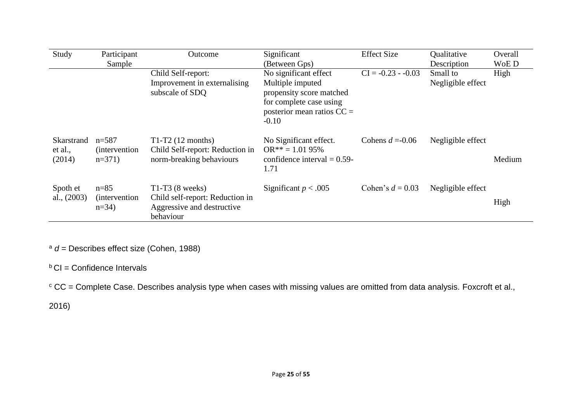| Study                                  | Participant<br>Sample                       | Outcome                                                                                         | Significant<br>(Between Gps)                                                                                                                | <b>Effect Size</b>  | Qualitative<br>Description    | Overall<br>WoE D |
|----------------------------------------|---------------------------------------------|-------------------------------------------------------------------------------------------------|---------------------------------------------------------------------------------------------------------------------------------------------|---------------------|-------------------------------|------------------|
|                                        |                                             | Child Self-report:<br>Improvement in externalising<br>subscale of SDQ                           | No significant effect<br>Multiple imputed<br>propensity score matched<br>for complete case using<br>posterior mean ratios $CC =$<br>$-0.10$ | $CI = -0.23 - 0.03$ | Small to<br>Negligible effect | High             |
| <b>Skarstrand</b><br>et al.,<br>(2014) | $n=587$<br><i>(intervention)</i><br>$n=371$ | $T1-T2$ (12 months)<br>Child Self-report: Reduction in<br>norm-breaking behaviours              | No Significant effect.<br>$OR^{**} = 1.0195\%$<br>confidence interval = $0.59$ -<br>1.71                                                    | Cohens $d = -0.06$  | Negligible effect             | Medium           |
| Spoth et<br>al., $(2003)$              | $n=85$<br><i>(intervention)</i><br>$n=34$ ) | $T1-T3$ (8 weeks)<br>Child self-report: Reduction in<br>Aggressive and destructive<br>behaviour | Significant $p < .005$                                                                                                                      | Cohen's $d = 0.03$  | Negligible effect             | High             |

<sup>a</sup> *d* = Describes effect size (Cohen, 1988)

 $b$  CI = Confidence Intervals

c CC = Complete Case. Describes analysis type when cases with missing values are omitted from data analysis. Foxcroft et al.,

2016)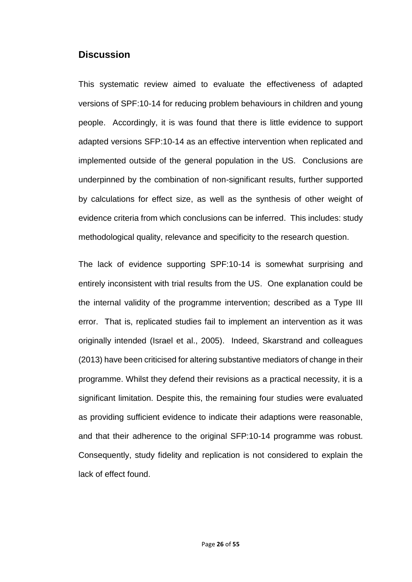## **Discussion**

This systematic review aimed to evaluate the effectiveness of adapted versions of SPF:10-14 for reducing problem behaviours in children and young people. Accordingly, it is was found that there is little evidence to support adapted versions SFP:10-14 as an effective intervention when replicated and implemented outside of the general population in the US. Conclusions are underpinned by the combination of non-significant results, further supported by calculations for effect size, as well as the synthesis of other weight of evidence criteria from which conclusions can be inferred. This includes: study methodological quality, relevance and specificity to the research question.

The lack of evidence supporting SPF:10-14 is somewhat surprising and entirely inconsistent with trial results from the US. One explanation could be the internal validity of the programme intervention; described as a Type III error. That is, replicated studies fail to implement an intervention as it was originally intended (Israel et al., 2005). Indeed, Skarstrand and colleagues (2013) have been criticised for altering substantive mediators of change in their programme. Whilst they defend their revisions as a practical necessity, it is a significant limitation. Despite this, the remaining four studies were evaluated as providing sufficient evidence to indicate their adaptions were reasonable, and that their adherence to the original SFP:10-14 programme was robust. Consequently, study fidelity and replication is not considered to explain the lack of effect found.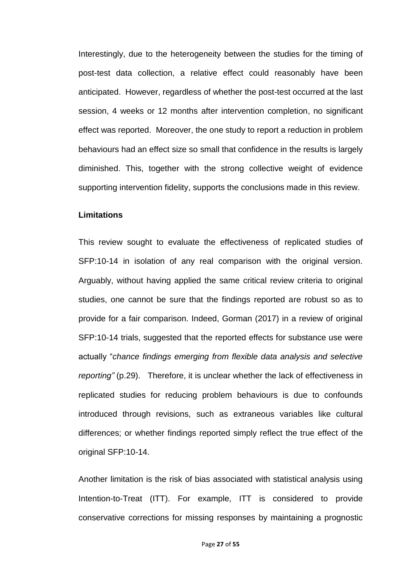Interestingly, due to the heterogeneity between the studies for the timing of post-test data collection, a relative effect could reasonably have been anticipated. However, regardless of whether the post-test occurred at the last session, 4 weeks or 12 months after intervention completion, no significant effect was reported. Moreover, the one study to report a reduction in problem behaviours had an effect size so small that confidence in the results is largely diminished. This, together with the strong collective weight of evidence supporting intervention fidelity, supports the conclusions made in this review.

## **Limitations**

This review sought to evaluate the effectiveness of replicated studies of SFP:10-14 in isolation of any real comparison with the original version. Arguably, without having applied the same critical review criteria to original studies, one cannot be sure that the findings reported are robust so as to provide for a fair comparison. Indeed, Gorman (2017) in a review of original SFP:10-14 trials, suggested that the reported effects for substance use were actually "*chance findings emerging from flexible data analysis and selective reporting"* (p.29). Therefore, it is unclear whether the lack of effectiveness in replicated studies for reducing problem behaviours is due to confounds introduced through revisions, such as extraneous variables like cultural differences; or whether findings reported simply reflect the true effect of the original SFP:10-14.

Another limitation is the risk of bias associated with statistical analysis using Intention-to-Treat (ITT). For example, ITT is considered to provide conservative corrections for missing responses by maintaining a prognostic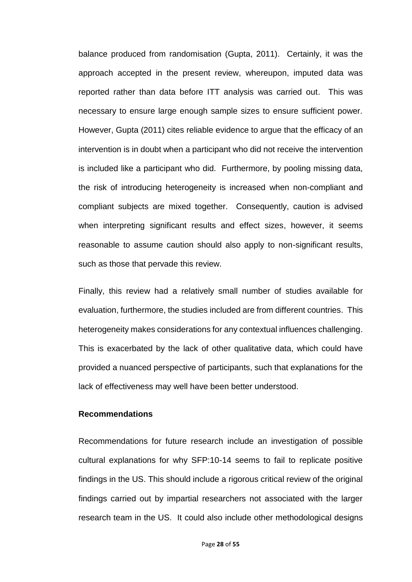balance produced from randomisation (Gupta, 2011). Certainly, it was the approach accepted in the present review, whereupon, imputed data was reported rather than data before ITT analysis was carried out. This was necessary to ensure large enough sample sizes to ensure sufficient power. However, Gupta (2011) cites reliable evidence to argue that the efficacy of an intervention is in doubt when a participant who did not receive the intervention is included like a participant who did. Furthermore, by pooling missing data, the risk of introducing heterogeneity is increased when non-compliant and compliant subjects are mixed together. Consequently, caution is advised when interpreting significant results and effect sizes, however, it seems reasonable to assume caution should also apply to non-significant results, such as those that pervade this review.

Finally, this review had a relatively small number of studies available for evaluation, furthermore, the studies included are from different countries. This heterogeneity makes considerations for any contextual influences challenging. This is exacerbated by the lack of other qualitative data, which could have provided a nuanced perspective of participants, such that explanations for the lack of effectiveness may well have been better understood.

## **Recommendations**

Recommendations for future research include an investigation of possible cultural explanations for why SFP:10-14 seems to fail to replicate positive findings in the US. This should include a rigorous critical review of the original findings carried out by impartial researchers not associated with the larger research team in the US. It could also include other methodological designs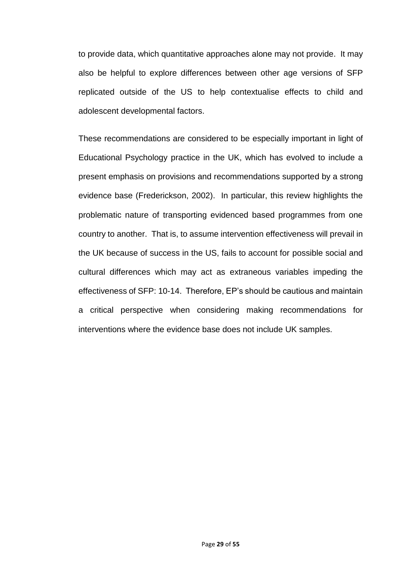to provide data, which quantitative approaches alone may not provide. It may also be helpful to explore differences between other age versions of SFP replicated outside of the US to help contextualise effects to child and adolescent developmental factors.

These recommendations are considered to be especially important in light of Educational Psychology practice in the UK, which has evolved to include a present emphasis on provisions and recommendations supported by a strong evidence base (Frederickson, 2002). In particular, this review highlights the problematic nature of transporting evidenced based programmes from one country to another. That is, to assume intervention effectiveness will prevail in the UK because of success in the US, fails to account for possible social and cultural differences which may act as extraneous variables impeding the effectiveness of SFP: 10-14. Therefore, EP's should be cautious and maintain a critical perspective when considering making recommendations for interventions where the evidence base does not include UK samples.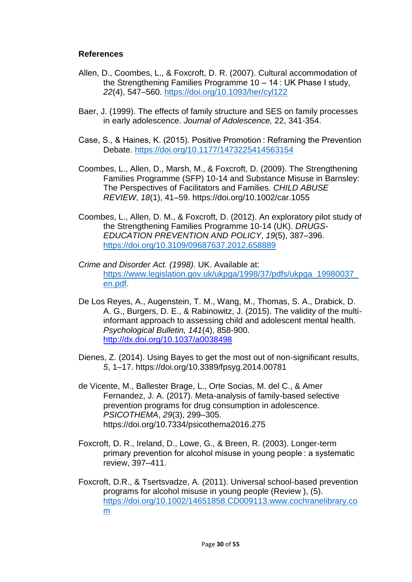## **References**

- Allen, D., Coombes, L., & Foxcroft, D. R. (2007). Cultural accommodation of the Strengthening Families Programme 10 – 14 : UK Phase I study, *22*(4), 547–560.<https://doi.org/10.1093/her/cyl122>
- Baer, J. (1999). The effects of family structure and SES on family processes in early adolescence. *Journal of Adolescence,* 22, 341-354.
- Case, S., & Haines, K. (2015). Positive Promotion : Reframing the Prevention Debate.<https://doi.org/10.1177/1473225414563154>
- Coombes, L., Allen, D., Marsh, M., & Foxcroft, D. (2009). The Strengthening Families Programme (SFP) 10-14 and Substance Misuse in Barnsley: The Perspectives of Facilitators and Families. *CHILD ABUSE REVIEW*, *18*(1), 41–59. https://doi.org/10.1002/car.1055
- Coombes, L., Allen, D. M., & Foxcroft, D. (2012). An exploratory pilot study of the Strengthening Families Programme 10-14 (UK). *DRUGS-EDUCATION PREVENTION AND POLICY*, *19*(5), 387–396. <https://doi.org/10.3109/09687637.2012.658889>
- *Crime and Disorder Act. (1998).* UK. Available at: [https://www.legislation.gov.uk/ukpga/1998/37/pdfs/ukpga\\_19980037\\_](https://www.legislation.gov.uk/ukpga/1998/37/pdfs/ukpga_19980037_en.pdf) [en.pdf.](https://www.legislation.gov.uk/ukpga/1998/37/pdfs/ukpga_19980037_en.pdf)
- De Los Reyes, A., Augenstein, T. M., Wang, M., Thomas, S. A., Drabick, D. A. G., Burgers, D. E., & Rabinowitz, J. (2015). The validity of the multiinformant approach to assessing child and adolescent mental health. *Psychological Bulletin, 141*(4), 858-900. [http://dx.doi.org/10.1037/a0038498](https://psycnet.apa.org/doi/10.1037/a0038498)
- Dienes, Z. (2014). Using Bayes to get the most out of non-significant results, *5*, 1–17. https://doi.org/10.3389/fpsyg.2014.00781
- de Vicente, M., Ballester Brage, L., Orte Socias, M. del C., & Amer Fernandez, J. A. (2017). Meta-analysis of family-based selective prevention programs for drug consumption in adolescence. *PSICOTHEMA*, *29*(3), 299–305. https://doi.org/10.7334/psicothema2016.275
- Foxcroft, D. R., Ireland, D., Lowe, G., & Breen, R. (2003). Longer-term primary prevention for alcohol misuse in young people : a systematic review, 397–411.
- Foxcroft, D.R., & Tsertsvadze, A. (2011). Universal school-based prevention programs for alcohol misuse in young people (Review ), (5). [https://doi.org/10.1002/14651858.CD009113.www.cochranelibrary.co](https://doi.org/10.1002/14651858.CD009113.www.cochranelibrary.com) [m](https://doi.org/10.1002/14651858.CD009113.www.cochranelibrary.com)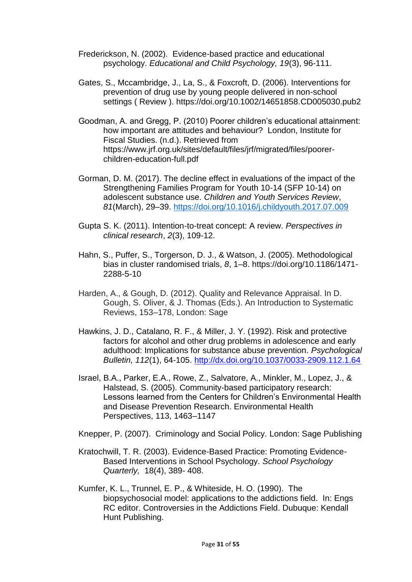Frederickson, N. (2002). Evidence-based practice and educational psychology. *Educational and Child Psychology, 19*(3), 96-111.

- Gates, S., Mccambridge, J., La, S., & Foxcroft, D. (2006). Interventions for prevention of drug use by young people delivered in non-school settings ( Review ). https://doi.org/10.1002/14651858.CD005030.pub2
- Goodman, A. and Gregg, P. (2010) Poorer children's educational attainment: how important are attitudes and behaviour? London, Institute for Fiscal Studies. (n.d.). Retrieved from https://www.jrf.org.uk/sites/default/files/jrf/migrated/files/poorerchildren-education-full.pdf
- Gorman, D. M. (2017). The decline effect in evaluations of the impact of the Strengthening Families Program for Youth 10-14 (SFP 10-14) on adolescent substance use. *Children and Youth Services Review*, *81*(March), 29–39.<https://doi.org/10.1016/j.childyouth.2017.07.009>
- Gupta S. K. (2011). Intention-to-treat concept: A review. *Perspectives in clinical research*, *2*(3), 109-12.
- Hahn, S., Puffer, S., Torgerson, D. J., & Watson, J. (2005). Methodological bias in cluster randomised trials, *8*, 1–8. https://doi.org/10.1186/1471- 2288-5-10
- Harden, A., & Gough, D. (2012). Quality and Relevance Appraisal. In D. Gough, S. Oliver, & J. Thomas (Eds.). An Introduction to Systematic Reviews, 153–178, London: Sage
- Hawkins, J. D., Catalano, R. F., & Miller, J. Y. (1992). Risk and protective factors for alcohol and other drug problems in adolescence and early adulthood: Implications for substance abuse prevention. *Psychological Bulletin, 112*(1), 64-105. [http://dx.doi.org/10.1037/0033-2909.112.1.64](https://psycnet.apa.org/doi/10.1037/0033-2909.112.1.64)
- Israel, B.A., Parker, E.A., Rowe, Z., Salvatore, A., Minkler, M., Lopez, J., & Halstead, S. (2005). Community-based participatory research: Lessons learned from the Centers for Children's Environmental Health and Disease Prevention Research. Environmental Health Perspectives, 113, 1463–1147

Knepper, P. (2007). Criminology and Social Policy. London: Sage Publishing

- Kratochwill, T. R. (2003). Evidence-Based Practice: Promoting Evidence-Based Interventions in School Psychology. *School Psychology Quarterly,* 18(4), 389- 408.
- Kumfer, K. L., Trunnel, E. P., & Whiteside, H. O. (1990). The biopsychosocial model: applications to the addictions field. In: Engs RC editor. Controversies in the Addictions Field. Dubuque: Kendall Hunt Publishing.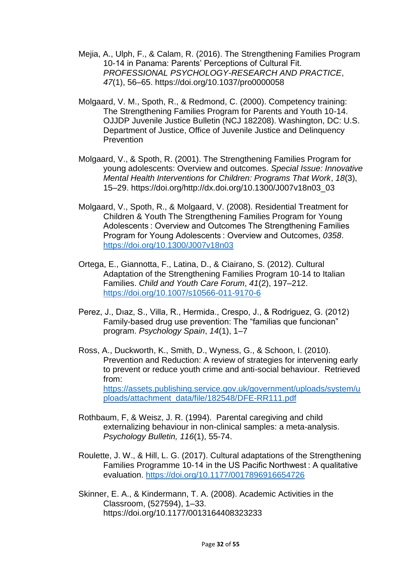- Mejia, A., Ulph, F., & Calam, R. (2016). The Strengthening Families Program 10-14 in Panama: Parents' Perceptions of Cultural Fit. *PROFESSIONAL PSYCHOLOGY-RESEARCH AND PRACTICE*, *47*(1), 56–65. https://doi.org/10.1037/pro0000058
- Molgaard, V. M., Spoth, R., & Redmond, C. (2000). Competency training: The Strengthening Families Program for Parents and Youth 10-14. OJJDP Juvenile Justice Bulletin (NCJ 182208). Washington, DC: U.S. Department of Justice, Office of Juvenile Justice and Delinquency **Prevention**
- Molgaard, V., & Spoth, R. (2001). The Strengthening Families Program for young adolescents: Overview and outcomes. *Special Issue: Innovative Mental Health Interventions for Children: Programs That Work*, *18*(3), 15–29. https://doi.org/http://dx.doi.org/10.1300/J007v18n03\_03
- Molgaard, V., Spoth, R., & Molgaard, V. (2008). Residential Treatment for Children & Youth The Strengthening Families Program for Young Adolescents : Overview and Outcomes The Strengthening Families Program for Young Adolescents : Overview and Outcomes, *0358*. <https://doi.org/10.1300/J007v18n03>
- Ortega, E., Giannotta, F., Latina, D., & Ciairano, S. (2012). Cultural Adaptation of the Strengthening Families Program 10-14 to Italian Families. *Child and Youth Care Forum*, *41*(2), 197–212. <https://doi.org/10.1007/s10566-011-9170-6>
- Perez, J., Dıaz, S., Villa, R., Hermida., Crespo, J., & Rodriguez, G. (2012) Family-based drug use prevention: The "familias que funcionan" program. *Psychology Spain*, *14*(1), 1–7
- Ross, A., Duckworth, K., Smith, D., Wyness, G., & Schoon, I. (2010). Prevention and Reduction: A review of strategies for intervening early to prevent or reduce youth crime and anti-social behaviour. Retrieved from: [https://assets.publishing.service.gov.uk/government/uploads/system/u](https://assets.publishing.service.gov.uk/government/uploads/system/uploads/attachment_data/file/182548/DFE-RR111.pdf) [ploads/attachment\\_data/file/182548/DFE-RR111.pdf](https://assets.publishing.service.gov.uk/government/uploads/system/uploads/attachment_data/file/182548/DFE-RR111.pdf)
- Rothbaum, F, & Weisz, J. R. (1994). Parental caregiving and child externalizing behaviour in non-clinical samples: a meta-analysis. *Psychology Bulletin, 116*(1), 55-74.
- Roulette, J. W., & Hill, L. G. (2017). Cultural adaptations of the Strengthening Families Programme 10-14 in the US Pacific Northwest: A qualitative evaluation.<https://doi.org/10.1177/0017896916654726>
- Skinner, E. A., & Kindermann, T. A. (2008). Academic Activities in the Classroom, (527594), 1–33. https://doi.org/10.1177/0013164408323233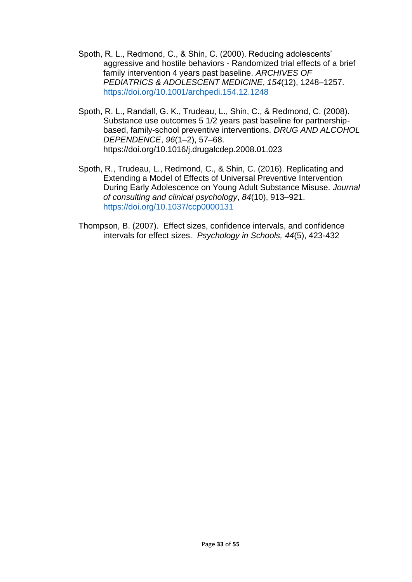- Spoth, R. L., Redmond, C., & Shin, C. (2000). Reducing adolescents' aggressive and hostile behaviors - Randomized trial effects of a brief family intervention 4 years past baseline. *ARCHIVES OF PEDIATRICS & ADOLESCENT MEDICINE*, *154*(12), 1248–1257. <https://doi.org/10.1001/archpedi.154.12.1248>
- Spoth, R. L., Randall, G. K., Trudeau, L., Shin, C., & Redmond, C. (2008). Substance use outcomes 5 1/2 years past baseline for partnershipbased, family-school preventive interventions. *DRUG AND ALCOHOL DEPENDENCE*, *96*(1–2), 57–68. https://doi.org/10.1016/j.drugalcdep.2008.01.023
- Spoth, R., Trudeau, L., Redmond, C., & Shin, C. (2016). Replicating and Extending a Model of Effects of Universal Preventive Intervention During Early Adolescence on Young Adult Substance Misuse. *Journal of consulting and clinical psychology*, *84*(10), 913–921. <https://doi.org/10.1037/ccp0000131>
- Thompson, B. (2007). Effect sizes, confidence intervals, and confidence intervals for effect sizes. *Psychology in Schools, 44*(5), 423-432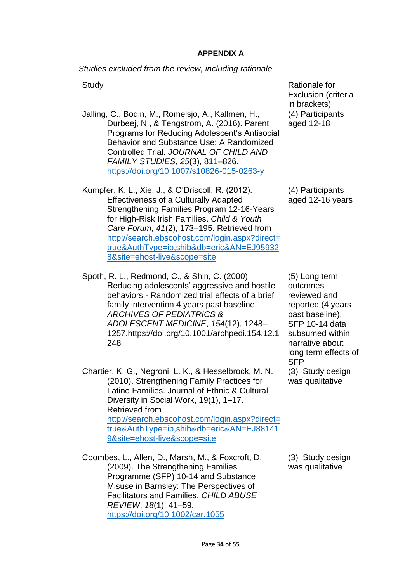## **APPENDIX A**

| Study                                                                                                                                                                                                                                                                                                                                                                      | Rationale for<br>Exclusion (criteria<br>in brackets)                                                                                                                                   |
|----------------------------------------------------------------------------------------------------------------------------------------------------------------------------------------------------------------------------------------------------------------------------------------------------------------------------------------------------------------------------|----------------------------------------------------------------------------------------------------------------------------------------------------------------------------------------|
| Jalling, C., Bodin, M., Romelsjo, A., Kallmen, H.,<br>Durbeej, N., & Tengstrom, A. (2016). Parent<br>Programs for Reducing Adolescent's Antisocial<br>Behavior and Substance Use: A Randomized<br>Controlled Trial. JOURNAL OF CHILD AND<br>FAMILY STUDIES, 25(3), 811-826.<br>https://doi.org/10.1007/s10826-015-0263-y                                                   | (4) Participants<br>aged 12-18                                                                                                                                                         |
| Kumpfer, K. L., Xie, J., & O'Driscoll, R. (2012).<br><b>Effectiveness of a Culturally Adapted</b><br>Strengthening Families Program 12-16-Years<br>for High-Risk Irish Families. Child & Youth<br>Care Forum, 41(2), 173-195. Retrieved from<br>http://search.ebscohost.com/login.aspx?direct=<br>true&AuthType=ip,shib&db=eric&AN=EJ95932<br>8&site=ehost-live&scope=site | (4) Participants<br>aged 12-16 years                                                                                                                                                   |
| Spoth, R. L., Redmond, C., & Shin, C. (2000).<br>Reducing adolescents' aggressive and hostile<br>behaviors - Randomized trial effects of a brief<br>family intervention 4 years past baseline.<br><b>ARCHIVES OF PEDIATRICS &amp;</b><br>ADOLESCENT MEDICINE, 154(12), 1248-<br>1257.https://doi.org/10.1001/archpedi.154.12.1<br>248                                      | (5) Long term<br>outcomes<br>reviewed and<br>reported (4 years<br>past baseline).<br><b>SFP 10-14 data</b><br>subsumed within<br>narrative about<br>long term effects of<br><b>SFP</b> |
| Chartier, K. G., Negroni, L. K., & Hesselbrock, M. N.<br>(2010). Strengthening Family Practices for<br>Latino Families, Journal of Ethnic & Cultural<br>Diversity in Social Work, 19(1), 1-17.<br>Retrieved from<br>http://search.ebscohost.com/login.aspx?direct=<br>true&AuthType=ip,shib&db=eric&AN=EJ88141<br>9&site=ehost-live&scope=site                             | (3) Study design<br>was qualitative                                                                                                                                                    |
| Coombes, L., Allen, D., Marsh, M., & Foxcroft, D.<br>(2009). The Strengthening Families<br>Programme (SFP) 10-14 and Substance<br>Misuse in Barnsley: The Perspectives of<br><b>Facilitators and Families. CHILD ABUSE</b><br>REVIEW, 18(1), 41-59.<br>https://doi.org/10.1002/car.1055                                                                                    | (3) Study design<br>was qualitative                                                                                                                                                    |

*Studies excluded from the review, including rationale.*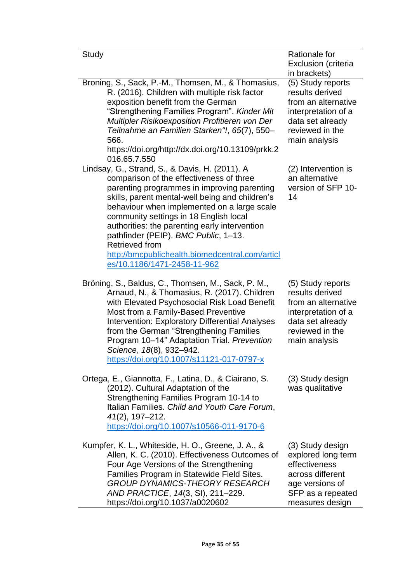| Study                                                                                                                                                                                                                                                                                                                                                                                                                                                                              | Rationale for<br>Exclusion (criteria<br>in brackets)                                                                                       |
|------------------------------------------------------------------------------------------------------------------------------------------------------------------------------------------------------------------------------------------------------------------------------------------------------------------------------------------------------------------------------------------------------------------------------------------------------------------------------------|--------------------------------------------------------------------------------------------------------------------------------------------|
| Broning, S., Sack, P.-M., Thomsen, M., & Thomasius,<br>R. (2016). Children with multiple risk factor<br>exposition benefit from the German<br>"Strengthening Families Program". Kinder Mit<br>Multipler Risikoexposition Profitieren von Der<br>Teilnahme an Familien Starken"!, 65(7), 550-<br>566.<br>https://doi.org/http://dx.doi.org/10.13109/prkk.2<br>016.65.7.550                                                                                                          | (5) Study reports<br>results derived<br>from an alternative<br>interpretation of a<br>data set already<br>reviewed in the<br>main analysis |
| Lindsay, G., Strand, S., & Davis, H. (2011). A<br>comparison of the effectiveness of three<br>parenting programmes in improving parenting<br>skills, parent mental-well being and children's<br>behaviour when implemented on a large scale<br>community settings in 18 English local<br>authorities: the parenting early intervention<br>pathfinder (PEIP). BMC Public, 1-13.<br>Retrieved from<br>http://bmcpublichealth.biomedcentral.com/articl<br>es/10.1186/1471-2458-11-962 | (2) Intervention is<br>an alternative<br>version of SFP 10-<br>14                                                                          |
| Bröning, S., Baldus, C., Thomsen, M., Sack, P. M.,<br>Arnaud, N., & Thomasius, R. (2017). Children<br>with Elevated Psychosocial Risk Load Benefit<br>Most from a Family-Based Preventive<br><b>Intervention: Exploratory Differential Analyses</b><br>from the German "Strengthening Families<br>Program 10-14" Adaptation Trial. Prevention<br>Science, 18(8), 932-942.<br>https://doi.org/10.1007/s11121-017-0797-x                                                             | (5) Study reports<br>results derived<br>from an alternative<br>interpretation of a<br>data set already<br>reviewed in the<br>main analysis |
| Ortega, E., Giannotta, F., Latina, D., & Ciairano, S.<br>(2012). Cultural Adaptation of the<br>Strengthening Families Program 10-14 to<br>Italian Families. Child and Youth Care Forum,<br>41(2), 197-212.<br>https://doi.org/10.1007/s10566-011-9170-6                                                                                                                                                                                                                            | (3) Study design<br>was qualitative                                                                                                        |
| Kumpfer, K. L., Whiteside, H. O., Greene, J. A., &<br>Allen, K. C. (2010). Effectiveness Outcomes of<br>Four Age Versions of the Strengthening<br>Families Program in Statewide Field Sites.<br><b>GROUP DYNAMICS-THEORY RESEARCH</b><br>AND PRACTICE, 14(3, SI), 211-229.<br>https://doi.org/10.1037/a0020602                                                                                                                                                                     | (3) Study design<br>explored long term<br>effectiveness<br>across different<br>age versions of<br>SFP as a repeated<br>measures design     |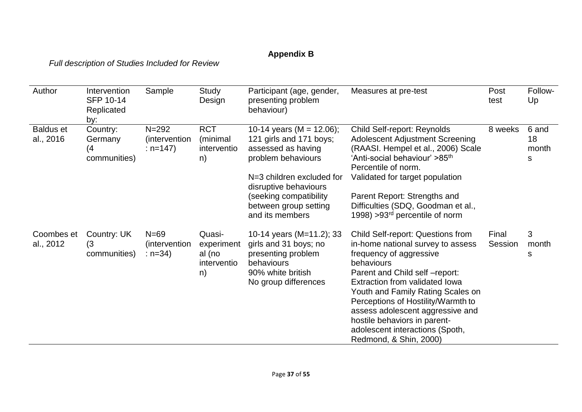# **Appendix B**

# *Full description of Studies Included for Review*

| Author                        | Intervention<br><b>SFP 10-14</b><br>Replicated<br>by: | Sample                                  | Study<br>Design                                     | Participant (age, gender,<br>presenting problem<br>behaviour)                                                                                                                                                                  | Measures at pre-test                                                                                                                                                                                                                                                                                                                                                                            | Post<br>test     | Follow-<br>Up             |
|-------------------------------|-------------------------------------------------------|-----------------------------------------|-----------------------------------------------------|--------------------------------------------------------------------------------------------------------------------------------------------------------------------------------------------------------------------------------|-------------------------------------------------------------------------------------------------------------------------------------------------------------------------------------------------------------------------------------------------------------------------------------------------------------------------------------------------------------------------------------------------|------------------|---------------------------|
| <b>Baldus et</b><br>al., 2016 | Country:<br>Germany<br>(4<br>communities)             | $N = 292$<br>(intervention<br>: $n=147$ | <b>RCT</b><br>(minimal<br>interventio<br>n)         | 10-14 years (M = $12.06$ );<br>121 girls and 171 boys;<br>assessed as having<br>problem behaviours<br>N=3 children excluded for<br>disruptive behaviours<br>(seeking compatibility<br>between group setting<br>and its members | Child Self-report: Reynolds<br><b>Adolescent Adjustment Screening</b><br>(RAASI. Hempel et al., 2006) Scale<br>'Anti-social behaviour' >85 <sup>th</sup><br>Percentile of norm.<br>Validated for target population<br>Parent Report: Strengths and<br>Difficulties (SDQ, Goodman et al.,<br>1998) > 93 <sup>rd</sup> percentile of norm                                                         | 8 weeks          | 6 and<br>18<br>month<br>S |
| Coombes et<br>al., 2012       | Country: UK<br>(3)<br>communities)                    | $N=69$<br>(intervention)<br>: $n=34$ )  | Quasi-<br>experiment<br>al (no<br>interventio<br>n) | 10-14 years (M=11.2); 33<br>girls and 31 boys; no<br>presenting problem<br>behaviours<br>90% white british<br>No group differences                                                                                             | Child Self-report: Questions from<br>in-home national survey to assess<br>frequency of aggressive<br>behaviours<br>Parent and Child self -report:<br>Extraction from validated lowa<br>Youth and Family Rating Scales on<br>Perceptions of Hostility/Warmth to<br>assess adolescent aggressive and<br>hostile behaviors in parent-<br>adolescent interactions (Spoth,<br>Redmond, & Shin, 2000) | Final<br>Session | 3<br>month<br>s           |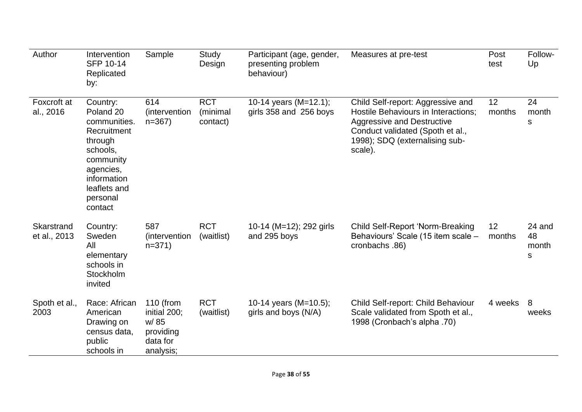| Author                     | Intervention<br><b>SFP 10-14</b><br>Replicated<br>by:                                                                                                       | Sample                                                                  | <b>Study</b><br>Design             | Participant (age, gender,<br>presenting problem<br>behaviour) | Measures at pre-test                                                                                                                                                                           | Post<br>test | Follow-<br>Up              |
|----------------------------|-------------------------------------------------------------------------------------------------------------------------------------------------------------|-------------------------------------------------------------------------|------------------------------------|---------------------------------------------------------------|------------------------------------------------------------------------------------------------------------------------------------------------------------------------------------------------|--------------|----------------------------|
| Foxcroft at<br>al., 2016   | Country:<br>Poland 20<br>communities.<br>Recruitment<br>through<br>schools,<br>community<br>agencies,<br>information<br>leaflets and<br>personal<br>contact | 614<br><i>(intervention)</i><br>$n = 367$                               | <b>RCT</b><br>(minimal<br>contact) | 10-14 years (M=12.1);<br>girls 358 and 256 boys               | Child Self-report: Aggressive and<br>Hostile Behaviours in Interactions;<br><b>Aggressive and Destructive</b><br>Conduct validated (Spoth et al.,<br>1998); SDQ (externalising sub-<br>scale). | 12<br>months | 24<br>month<br>S           |
| Skarstrand<br>et al., 2013 | Country:<br>Sweden<br>All<br>elementary<br>schools in<br>Stockholm<br>invited                                                                               | 587<br><i>(intervention)</i><br>$n=371$                                 | <b>RCT</b><br>(waitlist)           | 10-14 (M=12); 292 girls<br>and 295 boys                       | <b>Child Self-Report 'Norm-Breaking</b><br>Behaviours' Scale (15 item scale -<br>cronbachs .86)                                                                                                | 12<br>months | 24 and<br>48<br>month<br>S |
| Spoth et al.,<br>2003      | Race: African<br>American<br>Drawing on<br>census data,<br>public<br>schools in                                                                             | 110 (from<br>initial 200;<br>w/85<br>providing<br>data for<br>analysis; | <b>RCT</b><br>(waitlist)           | 10-14 years (M=10.5);<br>girls and boys (N/A)                 | Child Self-report: Child Behaviour<br>Scale validated from Spoth et al.,<br>1998 (Cronbach's alpha .70)                                                                                        | 4 weeks      | 8<br>weeks                 |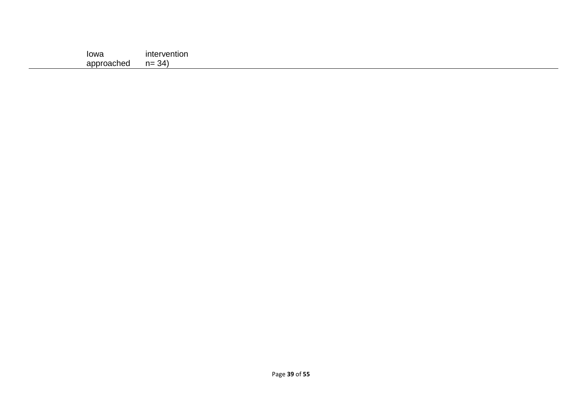| Iowa           | <u>Interventior</u> |
|----------------|---------------------|
| approac<br>hec | $n =$<br>.34        |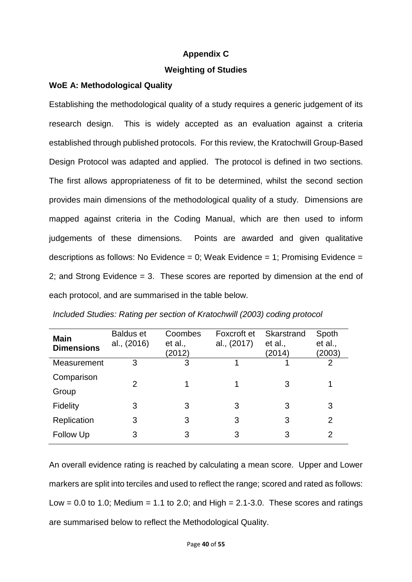## **Appendix C**

## **Weighting of Studies**

## **WoE A: Methodological Quality**

Establishing the methodological quality of a study requires a generic judgement of its research design. This is widely accepted as an evaluation against a criteria established through published protocols. For this review, the Kratochwill Group-Based Design Protocol was adapted and applied. The protocol is defined in two sections. The first allows appropriateness of fit to be determined, whilst the second section provides main dimensions of the methodological quality of a study. Dimensions are mapped against criteria in the Coding Manual, which are then used to inform judgements of these dimensions. Points are awarded and given qualitative descriptions as follows: No Evidence = 0; Weak Evidence = 1; Promising Evidence = 2; and Strong Evidence = 3. These scores are reported by dimension at the end of each protocol, and are summarised in the table below.

| <b>Main</b><br><b>Dimensions</b> | <b>Baldus et</b><br>al., (2016) | Coombes<br>et al.,<br>(2012) | Foxcroft et<br>al., (2017) | Skarstrand<br>et al.,<br>(2014) | Spoth<br>et al.,<br>(2003) |
|----------------------------------|---------------------------------|------------------------------|----------------------------|---------------------------------|----------------------------|
| Measurement                      | 3                               | 3                            |                            |                                 | 2                          |
| Comparison                       | 2                               |                              |                            | 3                               | 1                          |
| Group                            |                                 |                              |                            |                                 |                            |
| <b>Fidelity</b>                  | 3                               | 3                            | 3                          | 3                               | 3                          |
| Replication                      | 3                               | 3                            | 3                          | 3                               | $\overline{2}$             |
| Follow Up                        | 3                               | 3                            | 3                          | 3                               | $\overline{2}$             |

An overall evidence rating is reached by calculating a mean score. Upper and Lower markers are split into terciles and used to reflect the range; scored and rated as follows: Low = 0.0 to 1.0; Medium = 1.1 to 2.0; and High =  $2.1-3.0$ . These scores and ratings are summarised below to reflect the Methodological Quality.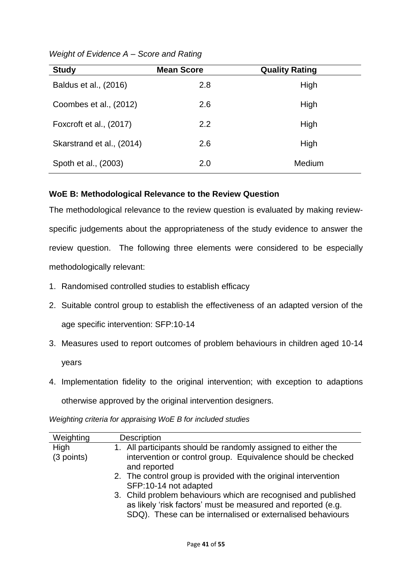| <b>Study</b>              | <b>Mean Score</b> | <b>Quality Rating</b> |
|---------------------------|-------------------|-----------------------|
| Baldus et al., (2016)     | 2.8               | High                  |
| Coombes et al., (2012)    | 2.6               | High                  |
| Foxcroft et al., (2017)   | 2.2               | High                  |
| Skarstrand et al., (2014) | 2.6               | High                  |
| Spoth et al., (2003)      | 2.0               | <b>Medium</b>         |

## *Weight of Evidence A – Score and Rating*

## **WoE B: Methodological Relevance to the Review Question**

The methodological relevance to the review question is evaluated by making reviewspecific judgements about the appropriateness of the study evidence to answer the review question. The following three elements were considered to be especially methodologically relevant:

- 1. Randomised controlled studies to establish efficacy
- 2. Suitable control group to establish the effectiveness of an adapted version of the age specific intervention: SFP:10-14
- 3. Measures used to report outcomes of problem behaviours in children aged 10-14 years
- 4. Implementation fidelity to the original intervention; with exception to adaptions otherwise approved by the original intervention designers.

*Weighting criteria for appraising WoE B for included studies*

| Weighting          | <b>Description</b>                                                                                                                                                                                                                                                                                                                                                                                                                        |
|--------------------|-------------------------------------------------------------------------------------------------------------------------------------------------------------------------------------------------------------------------------------------------------------------------------------------------------------------------------------------------------------------------------------------------------------------------------------------|
| High<br>(3 points) | 1. All participants should be randomly assigned to either the<br>intervention or control group. Equivalence should be checked<br>and reported<br>2. The control group is provided with the original intervention<br>SFP:10-14 not adapted<br>3. Child problem behaviours which are recognised and published<br>as likely 'risk factors' must be measured and reported (e.g.<br>SDQ). These can be internalised or externalised behaviours |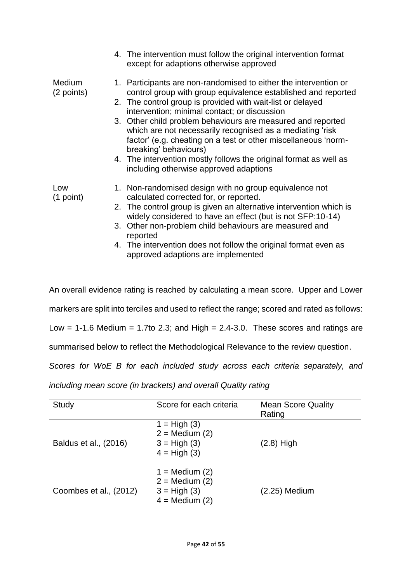|                             |                       | 4. The intervention must follow the original intervention format<br>except for adaptions otherwise approved                                                                                                                                                                                                                                                                                                                                                                                                                                                  |
|-----------------------------|-----------------------|--------------------------------------------------------------------------------------------------------------------------------------------------------------------------------------------------------------------------------------------------------------------------------------------------------------------------------------------------------------------------------------------------------------------------------------------------------------------------------------------------------------------------------------------------------------|
| <b>Medium</b><br>(2 points) | breaking' behaviours) | 1. Participants are non-randomised to either the intervention or<br>control group with group equivalence established and reported<br>2. The control group is provided with wait-list or delayed<br>intervention; minimal contact; or discussion<br>3. Other child problem behaviours are measured and reported<br>which are not necessarily recognised as a mediating 'risk<br>factor' (e.g. cheating on a test or other miscellaneous 'norm-<br>4. The intervention mostly follows the original format as well as<br>including otherwise approved adaptions |
| Low<br>$(1$ point)          | reported              | 1. Non-randomised design with no group equivalence not<br>calculated corrected for, or reported.<br>2. The control group is given an alternative intervention which is<br>widely considered to have an effect (but is not SFP:10-14)<br>3. Other non-problem child behaviours are measured and<br>4. The intervention does not follow the original format even as<br>approved adaptions are implemented                                                                                                                                                      |

An overall evidence rating is reached by calculating a mean score. Upper and Lower

markers are split into terciles and used to reflect the range; scored and rated as follows:

Low = 1-1.6 Medium = 1.7to 2.3; and High =  $2.4-3.0$ . These scores and ratings are

summarised below to reflect the Methodological Relevance to the review question.

*Scores for WoE B for each included study across each criteria separately, and* 

*including mean score (in brackets) and overall Quality rating*

| Study                  | Score for each criteria                                                                         | <b>Mean Score Quality</b><br>Rating |
|------------------------|-------------------------------------------------------------------------------------------------|-------------------------------------|
| Baldus et al., (2016)  | $1 = High (3)$<br>$2 = \text{Median} (2)$<br>$3 = High (3)$<br>$4 = High (3)$                   | $(2.8)$ High                        |
| Coombes et al., (2012) | $1 = \text{Median} (2)$<br>$2 = \text{Median} (2)$<br>$3 = High (3)$<br>$4 = \text{Median} (2)$ | (2.25) Medium                       |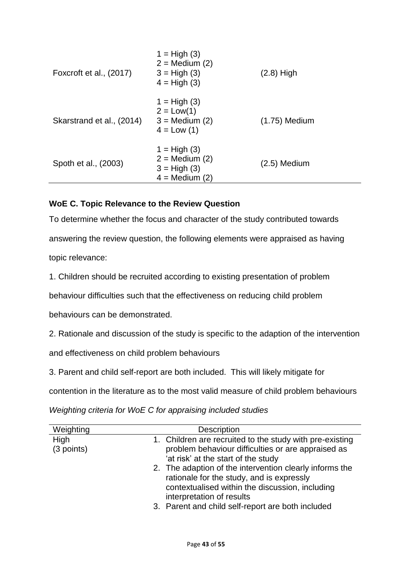| Spoth et al., (2003)      | $1 = High (3)$<br>$2 = \text{Median} (2)$<br>$3 = High (3)$<br>$4 = \text{Median} (2)$ | $(2.5)$ Medium  |
|---------------------------|----------------------------------------------------------------------------------------|-----------------|
| Skarstrand et al., (2014) | $1 = High (3)$<br>$2 = Low(1)$<br>$3 = \text{Median} (2)$<br>$4 = Low (1)$             | $(1.75)$ Medium |
| Foxcroft et al., (2017)   | $1 = High (3)$<br>$2 = \text{Median} (2)$<br>$3 = High (3)$<br>$4 = High (3)$          | $(2.8)$ High    |

## **WoE C. Topic Relevance to the Review Question**

To determine whether the focus and character of the study contributed towards answering the review question, the following elements were appraised as having topic relevance:

1. Children should be recruited according to existing presentation of problem

behaviour difficulties such that the effectiveness on reducing child problem

behaviours can be demonstrated.

2. Rationale and discussion of the study is specific to the adaption of the intervention

and effectiveness on child problem behaviours

3. Parent and child self-report are both included. This will likely mitigate for

contention in the literature as to the most valid measure of child problem behaviours

*Weighting criteria for WoE C for appraising included studies*

| Weighting  | <b>Description</b>                                                                                   |
|------------|------------------------------------------------------------------------------------------------------|
| High       | 1. Children are recruited to the study with pre-existing                                             |
| (3 points) | problem behaviour difficulties or are appraised as                                                   |
|            | 'at risk' at the start of the study                                                                  |
|            | 2. The adaption of the intervention clearly informs the<br>rationale for the study, and is expressly |
|            | contextualised within the discussion, including<br>interpretation of results                         |
|            | 3. Parent and child self-report are both included                                                    |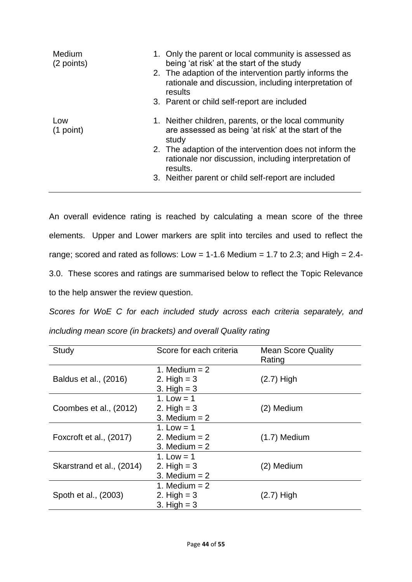| Medium<br>(2 points) | 1. Only the parent or local community is assessed as<br>being 'at risk' at the start of the study<br>2. The adaption of the intervention partly informs the<br>rationale and discussion, including interpretation of<br>results |
|----------------------|---------------------------------------------------------------------------------------------------------------------------------------------------------------------------------------------------------------------------------|
|                      | 3. Parent or child self-report are included                                                                                                                                                                                     |
| Low<br>$(1$ point)   | 1. Neither children, parents, or the local community<br>are assessed as being 'at risk' at the start of the<br>study                                                                                                            |
|                      | 2. The adaption of the intervention does not inform the<br>rationale nor discussion, including interpretation of<br>results.                                                                                                    |
|                      | 3. Neither parent or child self-report are included                                                                                                                                                                             |

An overall evidence rating is reached by calculating a mean score of the three elements. Upper and Lower markers are split into terciles and used to reflect the range; scored and rated as follows:  $Low = 1-1.6$  Medium = 1.7 to 2.3; and High = 2.4-3.0. These scores and ratings are summarised below to reflect the Topic Relevance to the help answer the review question.

*Scores for WoE C for each included study across each criteria separately, and including mean score (in brackets) and overall Quality rating*

| Study                     | Score for each criteria                            | <b>Mean Score Quality</b><br>Rating |
|---------------------------|----------------------------------------------------|-------------------------------------|
| Baldus et al., (2016)     | 1. Medium $= 2$<br>2. High $=$ 3<br>3. High $=$ 3  | $(2.7)$ High                        |
| Coombes et al., (2012)    | 1. Low = $1$<br>2. High $=$ 3<br>3. Medium $= 2$   | (2) Medium                          |
| Foxcroft et al., (2017)   | 1. Low $=$ 1<br>2. Medium $= 2$<br>3. Medium $= 2$ | $(1.7)$ Medium                      |
| Skarstrand et al., (2014) | 1. Low = $1$<br>2. High $=$ 3<br>3. Medium $= 2$   | (2) Medium                          |
| Spoth et al., (2003)      | 1. Medium $= 2$<br>2. High $=$ 3<br>3. High $=$ 3  | $(2.7)$ High                        |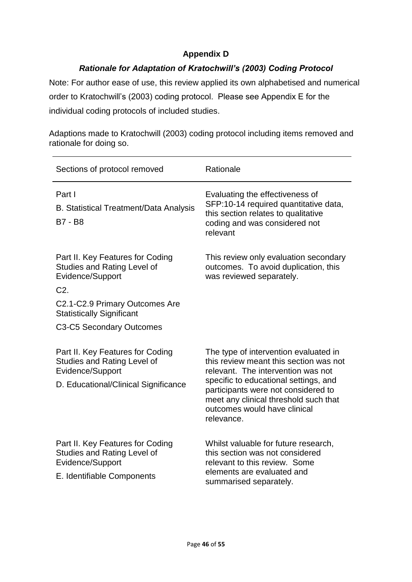## **Appendix D**

## *Rationale for Adaptation of Kratochwill's (2003) Coding Protocol*

Note: For author ease of use, this review applied its own alphabetised and numerical order to Kratochwill's (2003) coding protocol. Please see Appendix E for the individual coding protocols of included studies.

Sections of protocol removed Rationale Part I B. Statistical Treatment/Data Analysis B7 - B8 Evaluating the effectiveness of SFP:10-14 required quantitative data, this section relates to qualitative coding and was considered not relevant Part II. Key Features for Coding Studies and Rating Level of Evidence/Support C2. C2.1-C2.9 Primary Outcomes Are Statistically Significant C3-C5 Secondary Outcomes This review only evaluation secondary outcomes. To avoid duplication, this was reviewed separately. Part II. Key Features for Coding Studies and Rating Level of Evidence/Support D. Educational/Clinical Significance The type of intervention evaluated in this review meant this section was not relevant. The intervention was not specific to educational settings, and participants were not considered to meet any clinical threshold such that outcomes would have clinical relevance. Part II. Key Features for Coding Studies and Rating Level of Evidence/Support E. Identifiable Components Whilst valuable for future research, this section was not considered relevant to this review. Some elements are evaluated and summarised separately.

Adaptions made to Kratochwill (2003) coding protocol including items removed and rationale for doing so.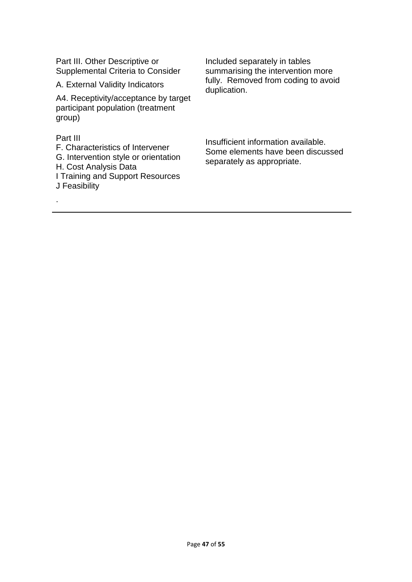| Part III. Other Descriptive or<br><b>Supplemental Criteria to Consider</b><br>A. External Validity Indicators<br>A4. Receptivity/acceptance by target<br>participant population (treatment<br>group) | Included separately in tables<br>summarising the intervention more<br>fully. Removed from coding to avoid<br>duplication. |
|------------------------------------------------------------------------------------------------------------------------------------------------------------------------------------------------------|---------------------------------------------------------------------------------------------------------------------------|
| Part III<br>F. Characteristics of Intervener<br>G. Intervention style or orientation<br>H. Cost Analysis Data<br>I Training and Support Resources<br>J Feasibility                                   | Insufficient information available.<br>Some elements have been discussed<br>separately as appropriate.                    |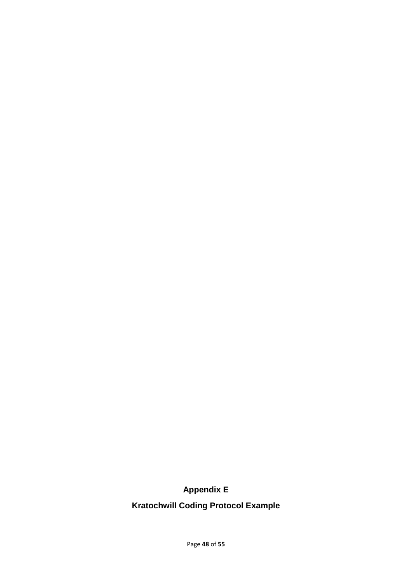# **Appendix E**

# **Kratochwill Coding Protocol Example**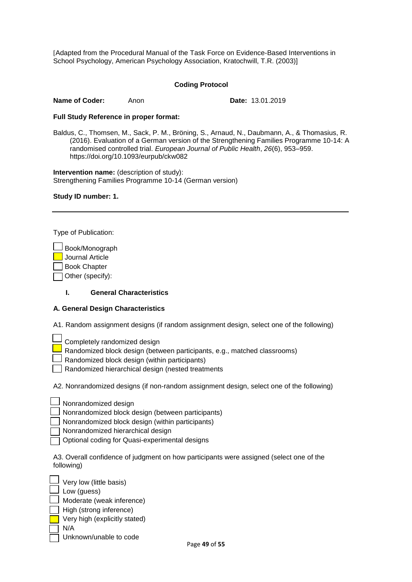[Adapted from the Procedural Manual of the Task Force on Evidence-Based Interventions in School Psychology, American Psychology Association, Kratochwill, T.R. (2003)]

#### **Coding Protocol**

**Name of Coder:** Anon **Date:** 13.01.2019

| <b>Name of Coder:</b><br>Anon |
|-------------------------------|
|-------------------------------|

#### **Full Study Reference in proper format:**

Baldus, C., Thomsen, M., Sack, P. M., Bröning, S., Arnaud, N., Daubmann, A., & Thomasius, R. (2016). Evaluation of a German version of the Strengthening Families Programme 10-14: A randomised controlled trial. *European Journal of Public Health*, *26*(6), 953–959. https://doi.org/10.1093/eurpub/ckw082

**Intervention name:** (description of study): Strengthening Families Programme 10-14 (German version)

#### **Study ID number: 1.**

Type of Publication:

| Book/Monograph   |
|------------------|
| Journal Article  |
| Book Chapter     |
| Other (specify): |

#### **I. General Characteristics**

#### **A. General Design Characteristics**

A1. Random assignment designs (if random assignment design, select one of the following)

Completely randomized design

Randomized block design (between participants, e.g., matched classrooms)

Randomized block design (within participants)

Randomized hierarchical design (nested treatments

A2. Nonrandomized designs (if non-random assignment design, select one of the following)

Nonrandomized design

Nonrandomized block design (between participants)

Nonrandomized block design (within participants)

Nonrandomized hierarchical design

Optional coding for Quasi-experimental designs

A3. Overall confidence of judgment on how participants were assigned (select one of the following)

| Very low (little basis)       |
|-------------------------------|
| Low (guess)                   |
| Moderate (weak inference)     |
| High (strong inference)       |
| Very high (explicitly stated) |
| N/A                           |
| Unknown/unable to code        |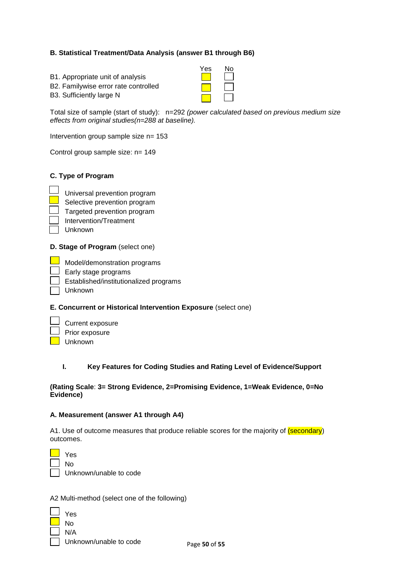## **B. Statistical Treatment/Data Analysis (answer B1 through B6)**

|                                      | Yes                                                                                                                                                                                                                                  | No.          |
|--------------------------------------|--------------------------------------------------------------------------------------------------------------------------------------------------------------------------------------------------------------------------------------|--------------|
| B1. Appropriate unit of analysis     |                                                                                                                                                                                                                                      | $\mathbf{1}$ |
| B2. Familywise error rate controlled | <b>The Contract of the Contract of the Contract of the Contract of the Contract of the Contract of the Contract of the Contract of the Contract of the Contract of the Contract of the Contract of the Contract of the Contract </b> | $\mathbf{1}$ |
| B3. Sufficiently large N             |                                                                                                                                                                                                                                      |              |

Total size of sample (start of study): n=292 *(power calculated based on previous medium size effects from original studies(n=288 at baseline).*

Intervention group sample size n= 153

Control group sample size: n= 149

#### **C. Type of Program**

Universal prevention program

Selective prevention program

Targeted prevention program

Intervention/Treatment

Unknown

#### **D. Stage of Program** (select one)

Model/demonstration programs

Early stage programs

Established/institutionalized programs

Unknown

#### **E. Concurrent or Historical Intervention Exposure** (select one)

Current exposure Prior exposure Unknown

#### **I. Key Features for Coding Studies and Rating Level of Evidence/Support**

#### **(Rating Scale**: **3= Strong Evidence, 2=Promising Evidence, 1=Weak Evidence, 0=No Evidence)**

#### **A. Measurement (answer A1 through A4)**

A1. Use of outcome measures that produce reliable scores for the majority of (secondary) outcomes.

| s<br>۳ |
|--------|
| ገ      |

| | Unknown/unable to code

A2 Multi-method (select one of the following)

| Yes  |
|------|
| N٥   |
| N/A  |
| ساحا |

N/A | Unknown/unable to code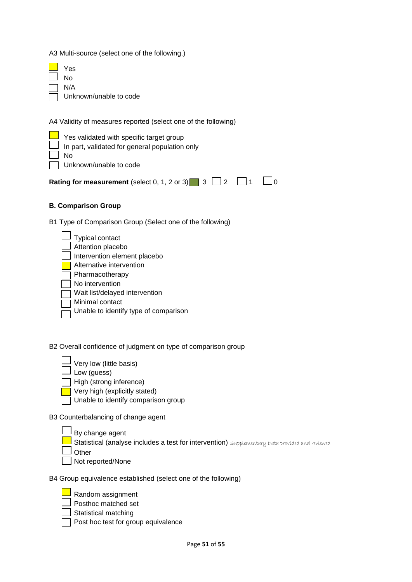A3 Multi-source (select one of the following.)

| es  |
|-----|
| No  |
| N/A |

Unknown/unable to code

A4 Validity of measures reported (select one of the following)

Yes validated with specific target group In part, validated for general population only No Unknown/unable to code

**Rating for measurement** (select 0, 1, 2 or 3)  $\Box$  3  $\Box$  2  $\Box$  1  $\Box$  0

#### **B. Comparison Group**

B1 Type of Comparison Group (Select one of the following)

|  | <b>Typical contact</b>                |
|--|---------------------------------------|
|  | Attention placebo                     |
|  | Intervention element placebo          |
|  | Alternative intervention              |
|  | Pharmacotherapy                       |
|  | No intervention                       |
|  | Wait list/delayed intervention        |
|  | Minimal contact                       |
|  | Unable to identify type of comparison |
|  |                                       |

B2 Overall confidence of judgment on type of comparison group

|  |  | $\equiv$ Very low (little basis) |
|--|--|----------------------------------|
|  |  |                                  |

 $\perp$  Low (guess)

High (strong inference)

Very high (explicitly stated)

 $\bar{ }$  Unable to identify comparison group

B3 Counterbalancing of change agent

By change agent

Statistical (analyse includes a test for intervention) Supplementary Data provided and reviewed

**Other** 

Not reported/None

B4 Group equivalence established (select one of the following)

Random assignment

Posthoc matched set

Statistical matching

Post hoc test for group equivalence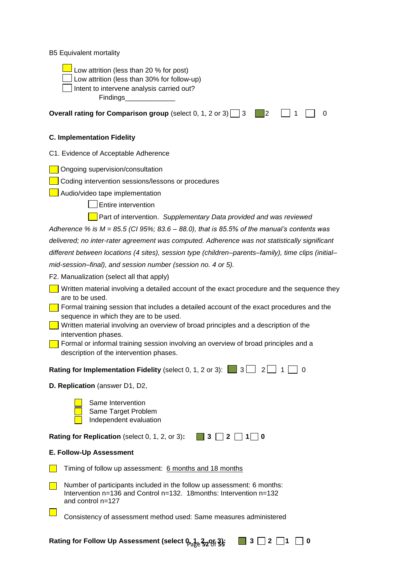B5 Equivalent mortality

| $\Box$ Low attrition (less than 20 % for post) |  |  |  |
|------------------------------------------------|--|--|--|
|                                                |  |  |  |

- $\Box$  Low attrition (less than 30% for follow-up)
- $\Box$  Intent to intervene analysis carried out?

Findings\_\_\_\_\_\_\_\_\_\_\_\_\_

| Overall rating for Comparison group (select 0, 1, 2 or 3) $\Box$ 3 $\Box$ 2 $\Box$ 1 $\Box$ 0 |  |  |  |  |  |  |
|-----------------------------------------------------------------------------------------------|--|--|--|--|--|--|
|-----------------------------------------------------------------------------------------------|--|--|--|--|--|--|

### **C. Implementation Fidelity**

| C1. Evidence of Acceptable Adherence |  |
|--------------------------------------|--|
|--------------------------------------|--|

- **Ongoing supervision/consultation**
- Coding intervention sessions/lessons or procedures
- **Audio/video tape implementation** 
	- Entire intervention

Part of intervention. *Supplementary Data provided and was reviewed*

*Adherence % is M = 85.5 (CI 95%; 83.6 – 88.0), that is 85.5% of the manual's contents was delivered; no inter-rater agreement was computed. Adherence was not statistically significant different between locations (4 sites), session type (children–parents–family), time clips (initial–*

*mid-session–final), and session number (session no. 4 or 5).*

F2. Manualization (select all that apply)

- $\blacksquare$  Written material involving a detailed account of the exact procedure and the sequence they are to be used.
- Formal training session that includes a detailed account of the exact procedures and the sequence in which they are to be used.
- Written material involving an overview of broad principles and a description of the intervention phases.
- Formal or informal training session involving an overview of broad principles and a description of the intervention phases.

**Rating for Implementation Fidelity** (select 0, 1, 2 or 3):  $\begin{bmatrix} 3 \end{bmatrix}$   $3 \begin{bmatrix} 2 \end{bmatrix}$  1  $\begin{bmatrix} 0 \end{bmatrix}$ 

**D. Replication** (answer D1, D2,



 Same Target Problem Independent evaluation

**Rating for Replication** (select 0, 1, 2, or 3):  $\Box$  3  $\Box$  2  $\Box$  1  $\Box$  0

#### **E. Follow-Up Assessment**

- $\Box$  Timing of follow up assessment: 6 months and 18 months
	- Number of participants included in the follow up assessment: 6 months: Intervention n=136 and Control n=132. 18months: Intervention n=132 and control n=127
		- Consistency of assessment method used: Same measures administered

Rating for Follow Up Assessment (select  $\phi_{\rm age}^{-1}$   $\frac{2}{32}$ Or  $\frac{3}{3}$ ; 3  $\Box$  2  $\Box$  1  $\Box$  0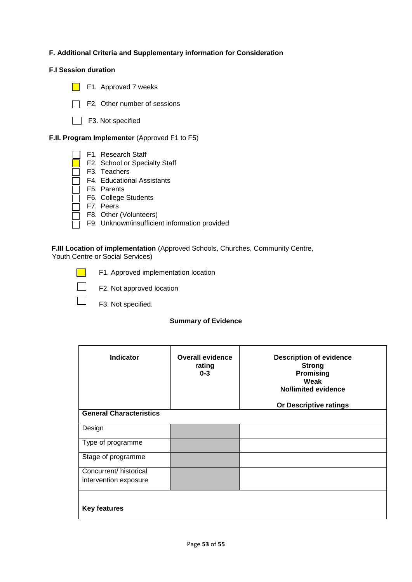## **F. Additional Criteria and Supplementary information for Consideration**

#### **F.I Session duration**

- $\Box$  F1. Approved 7 weeks
- □ F2. Other number of sessions
- F3. Not specified

**F.II. Program Implementer** (Approved F1 to F5)

- F1. Research Staff
- **F2.** School or Specialty Staff
- F3. Teachers
- F4. Educational Assistants
- $\bar{7}$  F5. Parents
- $\overline{\phantom{a}}$  F6. College Students
- $\overline{\phantom{a}}$  F7. Peers

 $\mathbb{R}^n$ 

 $\Box$ 

 $\mathbf{I}$ 

- $\bar{1}$  F8. Other (Volunteers)
- F9. Unknown/insufficient information provided

**F.III Location of implementation** (Approved Schools, Churches, Community Centre, Youth Centre or Social Services)

F1. Approved implementation location

- F2. Not approved location
- F3. Not specified.

#### **Summary of Evidence**

| <b>Indicator</b>               | <b>Overall evidence</b><br>rating<br>$0 - 3$ | <b>Description of evidence</b><br><b>Strong</b><br><b>Promising</b><br>Weak<br><b>No/limited evidence</b> |
|--------------------------------|----------------------------------------------|-----------------------------------------------------------------------------------------------------------|
|                                |                                              | Or Descriptive ratings                                                                                    |
| <b>General Characteristics</b> |                                              |                                                                                                           |
| Design                         |                                              |                                                                                                           |
| Type of programme              |                                              |                                                                                                           |
| Stage of programme             |                                              |                                                                                                           |
| Concurrent/ historical         |                                              |                                                                                                           |
| intervention exposure          |                                              |                                                                                                           |
| <b>Key features</b>            |                                              |                                                                                                           |
|                                |                                              |                                                                                                           |